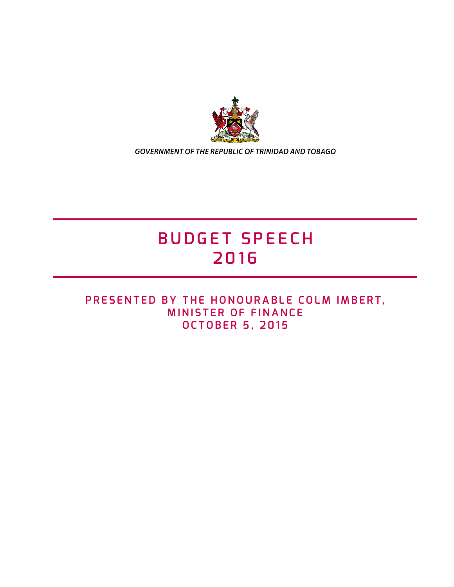

*GOVERNMENT OF THE REPUBLIC OF TRINIDAD AND TOBAGO*

# **BUDGET SPEECH 2016**

## **PRESENTED BY THE HONOURABLE COLM IMBERT, MINISTER OF FINANCE OCTOBER 5, 2015**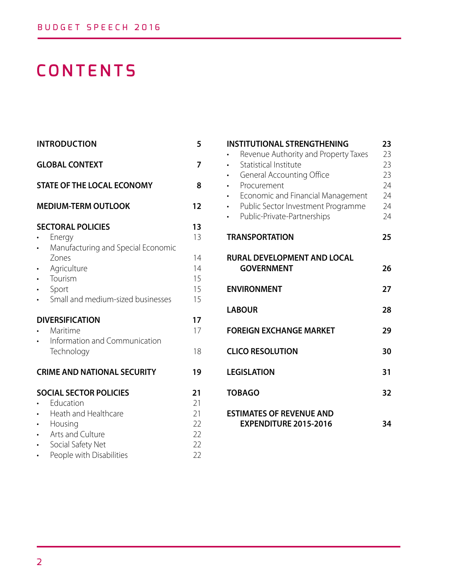# **CONTENTS**

| <b>INTRODUCTION</b>                                                                                                            | 5                                |
|--------------------------------------------------------------------------------------------------------------------------------|----------------------------------|
| <b>GLOBAL CONTEXT</b>                                                                                                          | 7                                |
| <b>STATE OF THE LOCAL ECONOMY</b>                                                                                              | 8                                |
| <b>MEDIUM-TERM OUTLOOK</b>                                                                                                     | 12                               |
| <b>SECTORAL POLICIES</b><br>Energy<br>Manufacturing and Special Economic<br>Zones                                              | 13<br>13<br>14                   |
| Agriculture<br>Tourism<br>Sport<br>Small and medium-sized businesses                                                           | 14<br>15<br>15<br>15             |
| <b>DIVERSIFICATION</b><br>Maritime<br>Information and Communication                                                            |                                  |
| Technology<br><b>CRIME AND NATIONAL SECURITY</b>                                                                               | 18<br>19                         |
| <b>SOCIAL SECTOR POLICIES</b>                                                                                                  | 21                               |
| Education<br>Heath and Healthcare<br>Housing<br>$\bullet$<br>Arts and Culture<br>Social Safety Net<br>People with Disabilities | 21<br>21<br>22<br>22<br>22<br>22 |

| <b>INSTITUTIONAL STRENGTHENING</b><br>Revenue Authority and Property Taxes<br>Statistical Institute<br><b>General Accounting Office</b><br>Procurement<br>Economic and Financial Management<br>Public Sector Investment Programme<br>Public-Private-Partnerships | 23<br>23<br>23<br>23<br>24<br>24<br>24<br>24 |
|------------------------------------------------------------------------------------------------------------------------------------------------------------------------------------------------------------------------------------------------------------------|----------------------------------------------|
| <b>TRANSPORTATION</b>                                                                                                                                                                                                                                            | 25                                           |
| <b>RURAL DEVELOPMENT AND LOCAL</b><br><b>GOVERNMENT</b>                                                                                                                                                                                                          | 26                                           |
| <b>ENVIRONMENT</b>                                                                                                                                                                                                                                               | 27                                           |
| <b>LABOUR</b>                                                                                                                                                                                                                                                    |                                              |
| <b>FOREIGN EXCHANGE MARKET</b>                                                                                                                                                                                                                                   |                                              |
| <b>CLICO RESOLUTION</b>                                                                                                                                                                                                                                          |                                              |
| <b>LEGISLATION</b>                                                                                                                                                                                                                                               |                                              |
| <b>TOBAGO</b>                                                                                                                                                                                                                                                    |                                              |
| <b>ESTIMATES OF REVENUE AND</b><br><b>EXPENDITURE 2015-2016</b>                                                                                                                                                                                                  | 34                                           |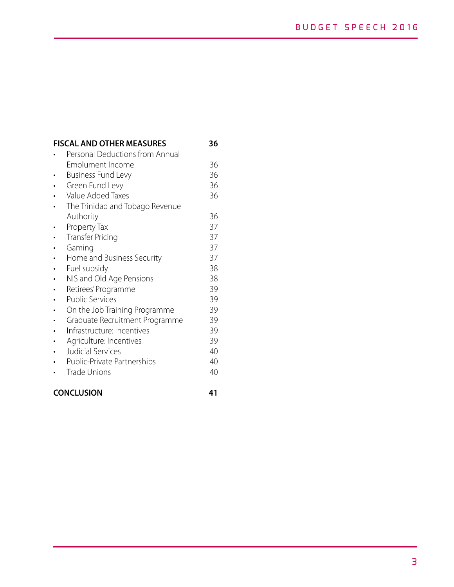## **FISCAL AND OTHER MEASURES 36**

| Personal Deductions from Annual |    |
|---------------------------------|----|
| Emolument Income                | 36 |
| <b>Business Fund Levy</b>       | 36 |
| Green Fund Levy                 | 36 |
| Value Added Taxes               | 36 |
| The Trinidad and Tobago Revenue |    |
| Authority                       | 36 |
| Property Tax                    | 37 |
| <b>Transfer Pricing</b>         | 37 |
| Gaming                          | 37 |
| Home and Business Security      | 37 |
| Fuel subsidy                    | 38 |
| NIS and Old Age Pensions        | 38 |
| Retirees' Programme             | 39 |
| <b>Public Services</b>          | 39 |
| On the Job Training Programme   | 39 |
| Graduate Recruitment Programme  | 39 |
| Infrastructure: Incentives      | 39 |
| Agriculture: Incentives         | 39 |
| Judicial Services               | 40 |
| Public-Private Partnerships     | 40 |
| <b>Trade Unions</b>             | 40 |
|                                 |    |

#### **CONCLUSION 41**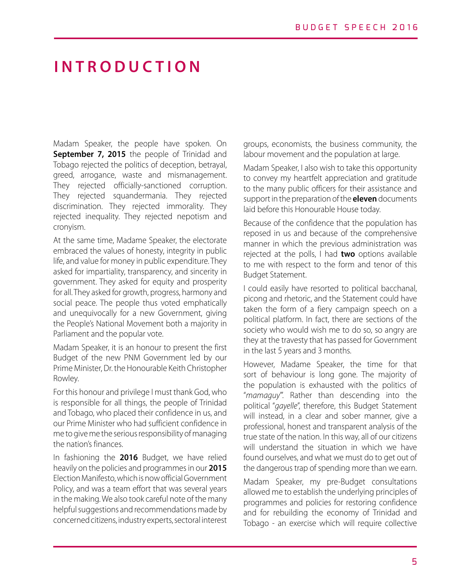# **INTRODUCTION**

Madam Speaker, the people have spoken. On **September 7, 2015** the people of Trinidad and Tobago rejected the politics of deception, betrayal, greed, arrogance, waste and mismanagement. They rejected officially-sanctioned corruption. They rejected squandermania. They rejected discrimination. They rejected immorality. They rejected inequality. They rejected nepotism and cronyism.

At the same time, Madame Speaker, the electorate embraced the values of honesty, integrity in public life, and value for money in public expenditure. They asked for impartiality, transparency, and sincerity in government. They asked for equity and prosperity for all. They asked for growth, progress, harmony and social peace. The people thus voted emphatically and unequivocally for a new Government, giving the People's National Movement both a majority in Parliament and the popular vote.

Madam Speaker, it is an honour to present the first Budget of the new PNM Government led by our Prime Minister, Dr. the Honourable Keith Christopher Rowley.

For this honour and privilege I must thank God, who is responsible for all things, the people of Trinidad and Tobago, who placed their confidence in us, and our Prime Minister who had sufficient confidence in me to give me the serious responsibility of managing the nation's finances.

In fashioning the **2016** Budget, we have relied heavily on the policies and programmes in our **2015** Election Manifesto, which is now official Government Policy, and was a team effort that was several years in the making. We also took careful note of the many helpful suggestions and recommendations made by concerned citizens, industry experts, sectoral interest

groups, economists, the business community, the labour movement and the population at large.

Madam Speaker, I also wish to take this opportunity to convey my heartfelt appreciation and gratitude to the many public officers for their assistance and support in the preparation of the **eleven** documents laid before this Honourable House today.

Because of the confidence that the population has reposed in us and because of the comprehensive manner in which the previous administration was rejected at the polls, I had **two** options available to me with respect to the form and tenor of this Budget Statement.

I could easily have resorted to political bacchanal, picong and rhetoric, and the Statement could have taken the form of a fiery campaign speech on a political platform. In fact, there are sections of the society who would wish me to do so, so angry are they at the travesty that has passed for Government in the last 5 years and 3 months.

However, Madame Speaker, the time for that sort of behaviour is long gone. The majority of the population is exhausted with the politics of "*mamaguy*"'. Rather than descending into the political "*gayelle*", therefore, this Budget Statement will instead, in a clear and sober manner, give a professional, honest and transparent analysis of the true state of the nation. In this way, all of our citizens will understand the situation in which we have found ourselves, and what we must do to get out of the dangerous trap of spending more than we earn.

Madam Speaker, my pre-Budget consultations allowed me to establish the underlying principles of programmes and policies for restoring confidence and for rebuilding the economy of Trinidad and Tobago - an exercise which will require collective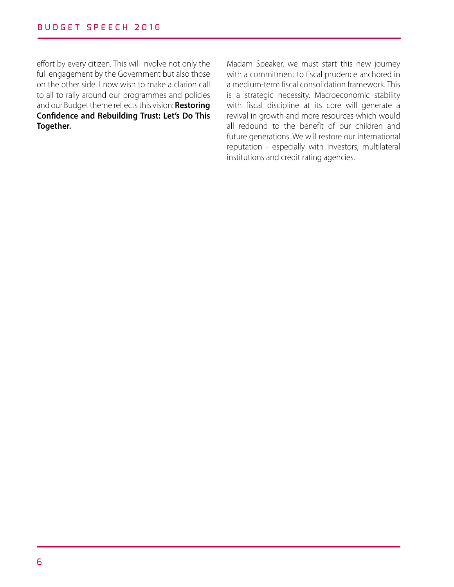effort by every citizen. This will involve not only the full engagement by the Government but also those on the other side. I now wish to make a clarion call to all to rally around our programmes and policies and our Budget theme reflects this vision: **Restoring Confidence and Rebuilding Trust: Let's Do This Together.** 

Madam Speaker, we must start this new journey with a commitment to fiscal prudence anchored in a medium-term fiscal consolidation framework. This is a strategic necessity. Macroeconomic stability with fiscal discipline at its core will generate a revival in growth and more resources which would all redound to the benefit of our children and future generations. We will restore our international reputation - especially with investors, multilateral institutions and credit rating agencies.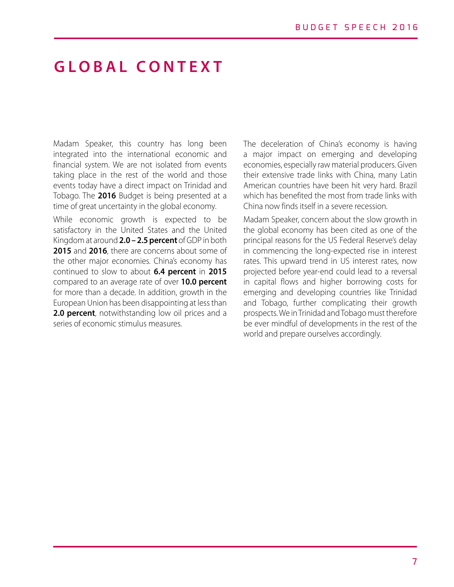## **GLOBAL CONTEXT**

Madam Speaker, this country has long been integrated into the international economic and financial system. We are not isolated from events taking place in the rest of the world and those events today have a direct impact on Trinidad and Tobago. The **2016** Budget is being presented at a time of great uncertainty in the global economy.

While economic growth is expected to be satisfactory in the United States and the United Kingdom at around **2.0 – 2.5 percent** of GDP in both **2015** and **2016**, there are concerns about some of the other major economies. China's economy has continued to slow to about **6.4 percent** in **2015** compared to an average rate of over **10.0 percent** for more than a decade. In addition, growth in the European Union has been disappointing at less than **2.0 percent**, notwithstanding low oil prices and a series of economic stimulus measures.

The deceleration of China's economy is having a major impact on emerging and developing economies, especially raw material producers. Given their extensive trade links with China, many Latin American countries have been hit very hard. Brazil which has benefited the most from trade links with China now finds itself in a severe recession.

Madam Speaker, concern about the slow growth in the global economy has been cited as one of the principal reasons for the US Federal Reserve's delay in commencing the long-expected rise in interest rates. This upward trend in US interest rates, now projected before year-end could lead to a reversal in capital flows and higher borrowing costs for emerging and developing countries like Trinidad and Tobago, further complicating their growth prospects. We in Trinidad and Tobago must therefore be ever mindful of developments in the rest of the world and prepare ourselves accordingly.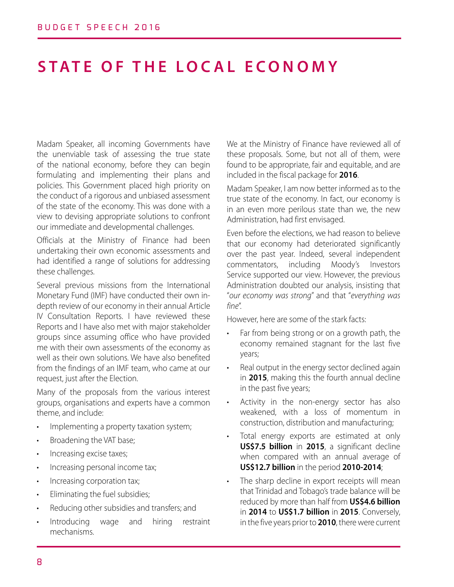# **STATE OF THE LOCAL ECONOMY**

Madam Speaker, all incoming Governments have the unenviable task of assessing the true state of the national economy, before they can begin formulating and implementing their plans and policies. This Government placed high priority on the conduct of a rigorous and unbiased assessment of the state of the economy. This was done with a view to devising appropriate solutions to confront our immediate and developmental challenges.

Officials at the Ministry of Finance had been undertaking their own economic assessments and had identified a range of solutions for addressing these challenges.

Several previous missions from the International Monetary Fund (IMF) have conducted their own indepth review of our economy in their annual Article IV Consultation Reports. I have reviewed these Reports and I have also met with major stakeholder groups since assuming office who have provided me with their own assessments of the economy as well as their own solutions. We have also benefited from the findings of an IMF team, who came at our request, just after the Election.

Many of the proposals from the various interest groups, organisations and experts have a common theme, and include:

- Implementing a property taxation system;
- Broadening the VAT base;
- Increasing excise taxes;
- Increasing personal income tax;
- Increasing corporation tax;
- Eliminating the fuel subsidies;
- Reducing other subsidies and transfers; and
- Introducing wage and hiring restraint mechanisms.

We at the Ministry of Finance have reviewed all of these proposals. Some, but not all of them, were found to be appropriate, fair and equitable, and are included in the fiscal package for **2016**.

Madam Speaker, I am now better informed as to the true state of the economy. In fact, our economy is in an even more perilous state than we, the new Administration, had first envisaged.

Even before the elections, we had reason to believe that our economy had deteriorated significantly over the past year. Indeed, several independent commentators, including Moody's Investors Service supported our view. However, the previous Administration doubted our analysis, insisting that "*our economy was strong*" and that "*everything was fine*".

However, here are some of the stark facts:

- Far from being strong or on a growth path, the economy remained stagnant for the last five years;
- Real output in the energy sector declined again in **2015**, making this the fourth annual decline in the past five years;
- Activity in the non-energy sector has also weakened, with a loss of momentum in construction, distribution and manufacturing;
- Total energy exports are estimated at only **US\$7.5 billion** in **2015**, a significant decline when compared with an annual average of **US\$12.7 billion** in the period **2010-2014**;
- The sharp decline in export receipts will mean that Trinidad and Tobago's trade balance will be reduced by more than half from **US\$4.6 billion**  in **2014** to **US\$1.7 billion** in **2015**. Conversely, in the five years prior to **2010**, there were current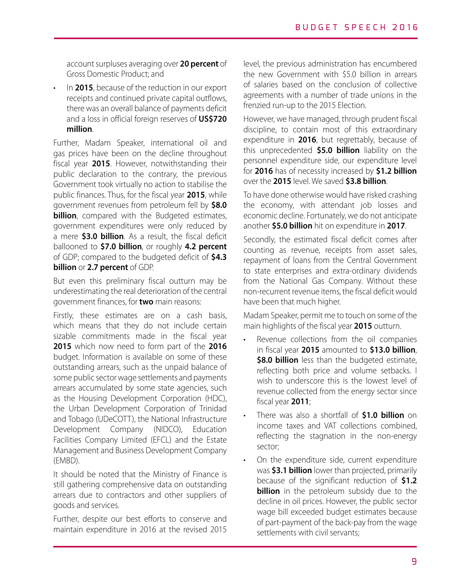account surpluses averaging over **20 percent** of Gross Domestic Product; and

• In **2015**, because of the reduction in our export receipts and continued private capital outflows, there was an overall balance of payments deficit and a loss in official foreign reserves of **US\$720 million**.

Further, Madam Speaker, international oil and gas prices have been on the decline throughout fiscal year **2015**. However, notwithstanding their public declaration to the contrary, the previous Government took virtually no action to stabilise the public finances. Thus, for the fiscal year **2015**, while government revenues from petroleum fell by **\$8.0 billion**, compared with the Budgeted estimates, government expenditures were only reduced by a mere **\$3.0 billion**. As a result, the fiscal deficit ballooned to **\$7.0 billion**, or roughly **4.2 percent**  of GDP; compared to the budgeted deficit of **\$4.3 billion** or **2.7 percent** of GDP.

But even this preliminary fiscal outturn may be underestimating the real deterioration of the central government finances, for **two** main reasons:

Firstly, these estimates are on a cash basis, which means that they do not include certain sizable commitments made in the fiscal year **2015** which now need to form part of the **2016** budget. Information is available on some of these outstanding arrears, such as the unpaid balance of some public sector wage settlements and payments arrears accumulated by some state agencies, such as the Housing Development Corporation (HDC), the Urban Development Corporation of Trinidad and Tobago (UDeCOTT), the National Infrastructure Development Company (NIDCO), Education Facilities Company Limited (EFCL) and the Estate Management and Business Development Company (EMBD).

It should be noted that the Ministry of Finance is still gathering comprehensive data on outstanding arrears due to contractors and other suppliers of goods and services.

Further, despite our best efforts to conserve and maintain expenditure in 2016 at the revised 2015 level, the previous administration has encumbered the new Government with \$5.0 billion in arrears of salaries based on the conclusion of collective agreements with a number of trade unions in the frenzied run-up to the 2015 Election.

However, we have managed, through prudent fiscal discipline, to contain most of this extraordinary expenditure in **2016**, but regrettably, because of this unprecedented **\$5.0 billion** liability on the personnel expenditure side, our expenditure level for **2016** has of necessity increased by **\$1.2 billion**  over the **2015** level. We saved **\$3.8 billion**.

To have done otherwise would have risked crashing the economy, with attendant job losses and economic decline. Fortunately, we do not anticipate another **\$5.0 billion** hit on expenditure in **2017**.

Secondly, the estimated fiscal deficit comes after counting as revenue, receipts from asset sales, repayment of loans from the Central Government to state enterprises and extra-ordinary dividends from the National Gas Company. Without these non-recurrent revenue items, the fiscal deficit would have been that much higher.

Madam Speaker, permit me to touch on some of the main highlights of the fiscal year **2015** outturn.

- Revenue collections from the oil companies in fiscal year **2015** amounted to **\$13.0 billion**, **\$8.0 billion** less than the budgeted estimate, reflecting both price and volume setbacks. I wish to underscore this is the lowest level of revenue collected from the energy sector since fiscal year **2011**;
- There was also a shortfall of **\$1.0 billion** on income taxes and VAT collections combined, reflecting the stagnation in the non-energy sector;
- On the expenditure side, current expenditure was **\$3.1 billion** lower than projected, primarily because of the significant reduction of **\$1.2 billion** in the petroleum subsidy due to the decline in oil prices. However, the public sector wage bill exceeded budget estimates because of part-payment of the back-pay from the wage settlements with civil servants;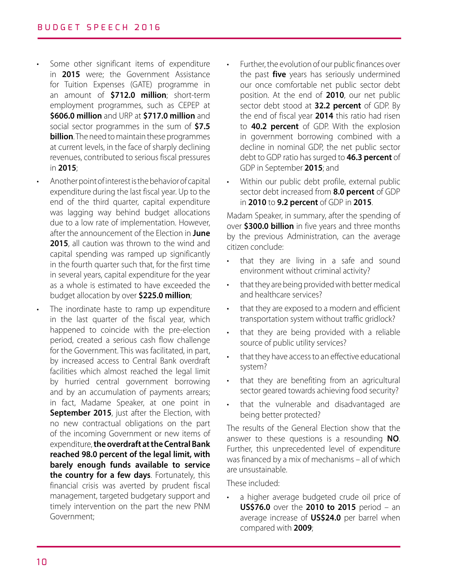- Some other significant items of expenditure in **2015** were; the Government Assistance for Tuition Expenses (GATE) programme in an amount of **\$712.0 million**; short-term employment programmes, such as CEPEP at **\$606.0 million** and URP at **\$717.0 million** and social sector programmes in the sum of **\$7.5 billion**. The need to maintain these programmes at current levels, in the face of sharply declining revenues, contributed to serious fiscal pressures in **2015**;
	- Another point of interest is the behavior of capital expenditure during the last fiscal year. Up to the end of the third quarter, capital expenditure was lagging way behind budget allocations due to a low rate of implementation. However, after the announcement of the Election in **June 2015**, all caution was thrown to the wind and capital spending was ramped up significantly in the fourth quarter such that, for the first time in several years, capital expenditure for the year as a whole is estimated to have exceeded the budget allocation by over **\$225.0 million**;
- The inordinate haste to ramp up expenditure in the last quarter of the fiscal year, which happened to coincide with the pre-election period, created a serious cash flow challenge for the Government. This was facilitated, in part, by increased access to Central Bank overdraft facilities which almost reached the legal limit by hurried central government borrowing and by an accumulation of payments arrears; in fact, Madame Speaker, at one point in **September 2015**, just after the Election, with no new contractual obligations on the part of the incoming Government or new items of expenditure, **the overdraft at the Central Bank reached 98.0 percent of the legal limit, with barely enough funds available to service the country for a few days**. Fortunately, this financial crisis was averted by prudent fiscal management, targeted budgetary support and timely intervention on the part the new PNM Government;
- Further, the evolution of our public finances over the past **five** years has seriously undermined our once comfortable net public sector debt position. At the end of **2010**, our net public sector debt stood at **32.2 percent** of GDP. By the end of fiscal year **2014** this ratio had risen to **40.2 percent** of GDP. With the explosion in government borrowing combined with a decline in nominal GDP, the net public sector debt to GDP ratio has surged to **46.3 percent** of GDP in September **2015**; and
- Within our public debt profile, external public sector debt increased from **8.0 percent** of GDP in **2010** to **9.2 percent** of GDP in **2015**.

Madam Speaker, in summary, after the spending of over **\$300.0 billion** in five years and three months by the previous Administration, can the average citizen conclude:

- that they are living in a safe and sound environment without criminal activity?
- that they are being provided with better medical and healthcare services?
- that they are exposed to a modern and efficient transportation system without traffic gridlock?
- that they are being provided with a reliable source of public utility services?
- that they have access to an effective educational system?
- that they are benefiting from an agricultural sector geared towards achieving food security?
- that the vulnerable and disadvantaged are being better protected?

The results of the General Election show that the answer to these questions is a resounding **NO**. Further, this unprecedented level of expenditure was financed by a mix of mechanisms – all of which are unsustainable.

These included:

• a higher average budgeted crude oil price of **US\$76.0** over the **2010 to 2015** period – an average increase of **US\$24.0** per barrel when compared with **2009**;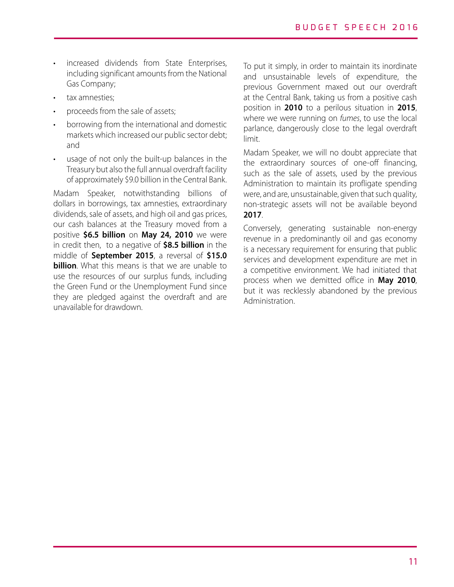- increased dividends from State Enterprises, including significant amounts from the National Gas Company;
- tax amnesties;
- proceeds from the sale of assets;
- borrowing from the international and domestic markets which increased our public sector debt; and
- usage of not only the built-up balances in the Treasury but also the full annual overdraft facility of approximately \$9.0 billion in the Central Bank.

Madam Speaker, notwithstanding billions of dollars in borrowings, tax amnesties, extraordinary dividends, sale of assets, and high oil and gas prices, our cash balances at the Treasury moved from a positive **\$6.5 billion** on **May 24, 2010** we were in credit then, to a negative of **\$8.5 billion** in the middle of **September 2015**, a reversal of **\$15.0 billion**. What this means is that we are unable to use the resources of our surplus funds, including the Green Fund or the Unemployment Fund since they are pledged against the overdraft and are unavailable for drawdown.

To put it simply, in order to maintain its inordinate and unsustainable levels of expenditure, the previous Government maxed out our overdraft at the Central Bank, taking us from a positive cash position in **2010** to a perilous situation in **2015**, where we were running on *fumes*, to use the local parlance, dangerously close to the legal overdraft limit.

Madam Speaker, we will no doubt appreciate that the extraordinary sources of one-off financing, such as the sale of assets, used by the previous Administration to maintain its profligate spending were, and are, unsustainable, given that such quality, non-strategic assets will not be available beyond **2017**.

Conversely, generating sustainable non-energy revenue in a predominantly oil and gas economy is a necessary requirement for ensuring that public services and development expenditure are met in a competitive environment. We had initiated that process when we demitted office in **May 2010**, but it was recklessly abandoned by the previous Administration.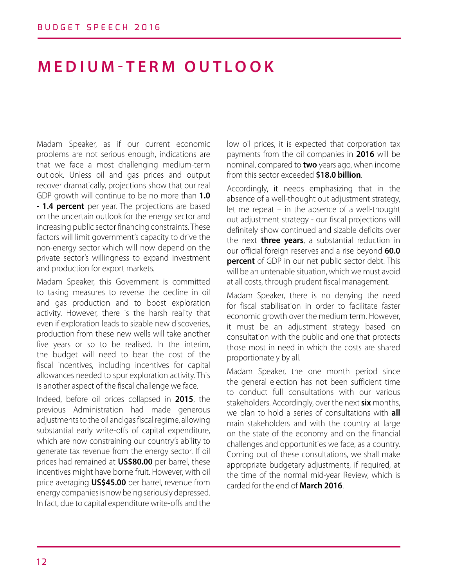# **MEDIUM-TERM OUTLOOK**

Madam Speaker, as if our current economic problems are not serious enough, indications are that we face a most challenging medium-term outlook. Unless oil and gas prices and output recover dramatically, projections show that our real GDP growth will continue to be no more than **1.0 - 1.4 percent** per year. The projections are based on the uncertain outlook for the energy sector and increasing public sector financing constraints. These factors will limit government's capacity to drive the non-energy sector which will now depend on the private sector's willingness to expand investment and production for export markets.

Madam Speaker, this Government is committed to taking measures to reverse the decline in oil and gas production and to boost exploration activity. However, there is the harsh reality that even if exploration leads to sizable new discoveries, production from these new wells will take another five years or so to be realised. In the interim, the budget will need to bear the cost of the fiscal incentives, including incentives for capital allowances needed to spur exploration activity. This is another aspect of the fiscal challenge we face.

Indeed, before oil prices collapsed in **2015**, the previous Administration had made generous adjustments to the oil and gas fiscal regime, allowing substantial early write-offs of capital expenditure, which are now constraining our country's ability to generate tax revenue from the energy sector. If oil prices had remained at **US\$80.00** per barrel, these incentives might have borne fruit. However, with oil price averaging **US\$45.00** per barrel, revenue from energy companies is now being seriously depressed. In fact, due to capital expenditure write-offs and the low oil prices, it is expected that corporation tax payments from the oil companies in **2016** will be nominal, compared to **two** years ago, when income from this sector exceeded **\$18.0 billion**.

Accordingly, it needs emphasizing that in the absence of a well-thought out adjustment strategy, let me repeat – in the absence of a well-thought out adjustment strategy - our fiscal projections will definitely show continued and sizable deficits over the next **three years**, a substantial reduction in our official foreign reserves and a rise beyond **60.0 percent** of GDP in our net public sector debt. This will be an untenable situation, which we must avoid at all costs, through prudent fiscal management.

Madam Speaker, there is no denying the need for fiscal stabilisation in order to facilitate faster economic growth over the medium term. However, it must be an adjustment strategy based on consultation with the public and one that protects those most in need in which the costs are shared proportionately by all.

Madam Speaker, the one month period since the general election has not been sufficient time to conduct full consultations with our various stakeholders. Accordingly, over the next **six** months, we plan to hold a series of consultations with **all**  main stakeholders and with the country at large on the state of the economy and on the financial challenges and opportunities we face, as a country. Coming out of these consultations, we shall make appropriate budgetary adjustments, if required, at the time of the normal mid-year Review, which is carded for the end of **March 2016**.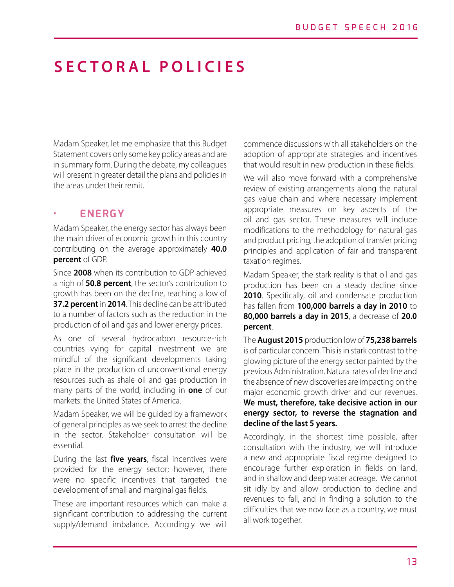# **SECTORAL POLICIES**

Madam Speaker, let me emphasize that this Budget Statement covers only some key policy areas and are in summary form. During the debate, my colleagues will present in greater detail the plans and policies in the areas under their remit.

### **• ENERGY**

Madam Speaker, the energy sector has always been the main driver of economic growth in this country contributing on the average approximately **40.0 percent** of GDP.

Since **2008** when its contribution to GDP achieved a high of **50.8 percent**, the sector's contribution to growth has been on the decline, reaching a low of **37.2 percent** in **2014**. This decline can be attributed to a number of factors such as the reduction in the production of oil and gas and lower energy prices.

As one of several hydrocarbon resource-rich countries vying for capital investment we are mindful of the significant developments taking place in the production of unconventional energy resources such as shale oil and gas production in many parts of the world, including in **one** of our markets: the United States of America.

Madam Speaker, we will be guided by a framework of general principles as we seek to arrest the decline in the sector. Stakeholder consultation will be essential.

During the last **five years**, fiscal incentives were provided for the energy sector; however, there were no specific incentives that targeted the development of small and marginal gas fields.

These are important resources which can make a significant contribution to addressing the current supply/demand imbalance. Accordingly we will

commence discussions with all stakeholders on the adoption of appropriate strategies and incentives that would result in new production in these fields.

We will also move forward with a comprehensive review of existing arrangements along the natural gas value chain and where necessary implement appropriate measures on key aspects of the oil and gas sector. These measures will include modifications to the methodology for natural gas and product pricing, the adoption of transfer pricing principles and application of fair and transparent taxation regimes.

Madam Speaker, the stark reality is that oil and gas production has been on a steady decline since 2010. Specifically, oil and condensate production has fallen from **100,000 barrels a day in 2010** to **80,000 barrels a day in 2015**, a decrease of **20.0 percent**.

The **August 2015** production low of **75,238 barrels**  is of particular concern. This is in stark contrast to the glowing picture of the energy sector painted by the previous Administration. Natural rates of decline and the absence of new discoveries are impacting on the major economic growth driver and our revenues. **We must, therefore, take decisive action in our energy sector, to reverse the stagnation and decline of the last 5 years.** 

Accordingly, in the shortest time possible, after consultation with the industry, we will introduce a new and appropriate fiscal regime designed to encourage further exploration in fields on land, and in shallow and deep water acreage. We cannot sit idly by and allow production to decline and revenues to fall, and in finding a solution to the difficulties that we now face as a country, we must all work together.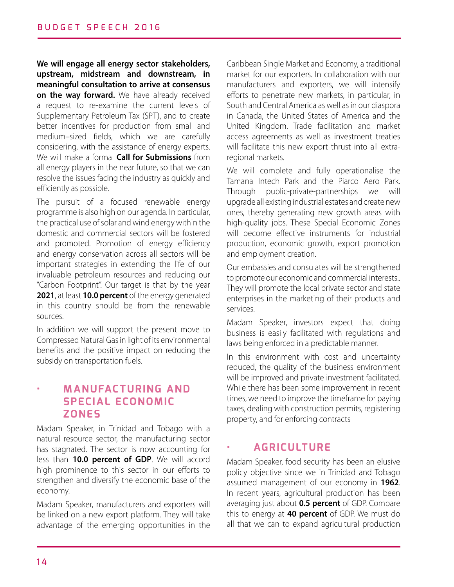**We will engage all energy sector stakeholders, upstream, midstream and downstream, in meaningful consultation to arrive at consensus on the way forward.** We have already received a request to re-examine the current levels of Supplementary Petroleum Tax (SPT), and to create better incentives for production from small and medium–sized fields, which we are carefully considering, with the assistance of energy experts. We will make a formal **Call for Submissions** from all energy players in the near future, so that we can resolve the issues facing the industry as quickly and efficiently as possible.

The pursuit of a focused renewable energy programme is also high on our agenda. In particular, the practical use of solar and wind energy within the domestic and commercial sectors will be fostered and promoted. Promotion of energy efficiency and energy conservation across all sectors will be important strategies in extending the life of our invaluable petroleum resources and reducing our "Carbon Footprint". Our target is that by the year **2021**, at least **10.0 percent** of the energy generated in this country should be from the renewable sources.

In addition we will support the present move to Compressed Natural Gas in light of its environmental benefits and the positive impact on reducing the subsidy on transportation fuels.

## **• MANUFACTURING AND SPECIAL ECONOMIC ZONES**

Madam Speaker, in Trinidad and Tobago with a natural resource sector, the manufacturing sector has stagnated. The sector is now accounting for less than **10.0 percent of GDP**. We will accord high prominence to this sector in our efforts to strengthen and diversify the economic base of the economy.

Madam Speaker, manufacturers and exporters will be linked on a new export platform. They will take advantage of the emerging opportunities in the Caribbean Single Market and Economy, a traditional market for our exporters. In collaboration with our manufacturers and exporters, we will intensify efforts to penetrate new markets, in particular, in South and Central America as well as in our diaspora in Canada, the United States of America and the United Kingdom. Trade facilitation and market access agreements as well as investment treaties will facilitate this new export thrust into all extraregional markets.

We will complete and fully operationalise the Tamana Intech Park and the Piarco Aero Park. Through public-private-partnerships we will upgrade all existing industrial estates and create new ones, thereby generating new growth areas with high-quality jobs. These Special Economic Zones will become effective instruments for industrial production, economic growth, export promotion and employment creation.

Our embassies and consulates will be strengthened to promote our economic and commercial interests.. They will promote the local private sector and state enterprises in the marketing of their products and services.

Madam Speaker, investors expect that doing business is easily facilitated with regulations and laws being enforced in a predictable manner.

In this environment with cost and uncertainty reduced, the quality of the business environment will be improved and private investment facilitated. While there has been some improvement in recent times, we need to improve the timeframe for paying taxes, dealing with construction permits, registering property, and for enforcing contracts

### **• AGRICULTURE**

Madam Speaker, food security has been an elusive policy objective since we in Trinidad and Tobago assumed management of our economy in **1962**. In recent years, agricultural production has been averaging just about **0.5 percent** of GDP. Compare this to energy at **40 percent** of GDP. We must do all that we can to expand agricultural production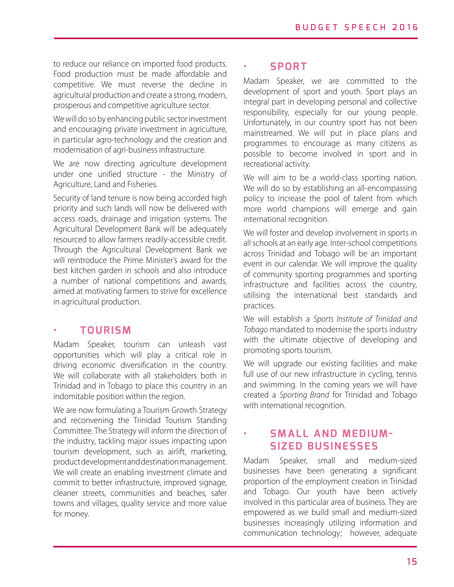to reduce our reliance on imported food products. Food production must be made affordable and competitive. We must reverse the decline in agricultural production and create a strong, modern, prosperous and competitive agriculture sector.

We will do so by enhancing public sector investment and encouraging private investment in agriculture, in particular agro-technology and the creation and modernisation of agri-business infrastructure.

We are now directing agriculture development under one unified structure - the Ministry of Agriculture, Land and Fisheries.

Security of land tenure is now being accorded high priority and such lands will now be delivered with access roads, drainage and irrigation systems. The Agricultural Development Bank will be adequately resourced to allow farmers readily-accessible credit. Through the Agricultural Development Bank we will reintroduce the Prime Minister's award for the best kitchen garden in schools and also introduce a number of national competitions and awards, aimed at motivating farmers to strive for excellence in agricultural production.

### **• TOURISM**

Madam Speaker, tourism can unleash vast opportunities which will play a critical role in driving economic diversification in the country. We will collaborate with all stakeholders both in Trinidad and in Tobago to place this country in an indomitable position within the region.

We are now formulating a Tourism Growth Strategy and reconvening the Trinidad Tourism Standing Committee. The Strategy will inform the direction of the industry, tackling major issues impacting upon tourism development, such as airlift, marketing, product development and destination management. We will create an enabling investment climate and commit to better infrastructure, improved signage, cleaner streets, communities and beaches, safer towns and villages, quality service and more value for money.

### **• SPORT**

Madam Speaker, we are committed to the development of sport and youth. Sport plays an integral part in developing personal and collective responsibility, especially for our young people. Unfortunately, in our country sport has not been mainstreamed. We will put in place plans and programmes to encourage as many citizens as possible to become involved in sport and in recreational activity.

We will aim to be a world-class sporting nation. We will do so by establishing an all-encompassing policy to increase the pool of talent from which more world champions will emerge and gain international recognition.

We will foster and develop involvement in sports in all schools at an early age. Inter-school competitions across Trinidad and Tobago will be an important event in our calendar. We will improve the quality of community sporting programmes and sporting infrastructure and facilities across the country, utilising the international best standards and practices.

We will establish a *Sports Institute of Trinidad and Tobago* mandated to modernise the sports industry with the ultimate objective of developing and promoting sports tourism.

We will upgrade our existing facilities and make full use of our new infrastructure in cycling, tennis and swimming. In the coming years we will have created a *Sporting Brand* for Trinidad and Tobago with international recognition.

## **SMALL AND MEDIUM-SIZED BUSINESSES**

Madam Speaker, small and medium-sized businesses have been generating a significant proportion of the employment creation in Trinidad and Tobago. Our youth have been actively involved in this particular area of business. They are empowered as we build small and medium-sized businesses increasingly utilizing information and communication technology; however, adequate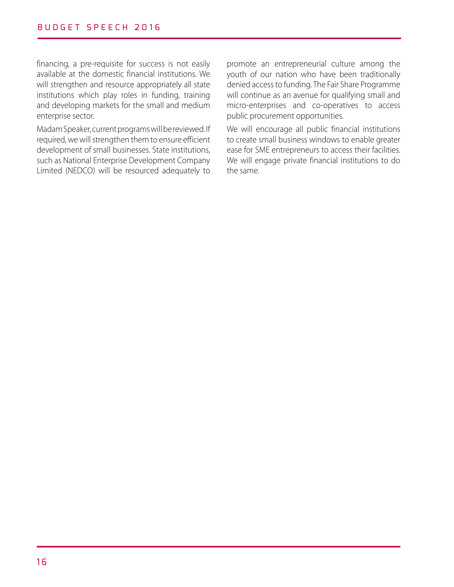financing, a pre-requisite for success is not easily available at the domestic financial institutions. We will strengthen and resource appropriately all state institutions which play roles in funding, training and developing markets for the small and medium enterprise sector.

Madam Speaker, current programs will be reviewed. If required, we will strengthen them to ensure efficient development of small businesses. State institutions, such as National Enterprise Development Company Limited (NEDCO) will be resourced adequately to

promote an entrepreneurial culture among the youth of our nation who have been traditionally denied access to funding. The Fair Share Programme will continue as an avenue for qualifying small and micro-enterprises and co-operatives to access public procurement opportunities.

We will encourage all public financial institutions to create small business windows to enable greater ease for SME entrepreneurs to access their facilities. We will engage private financial institutions to do the same.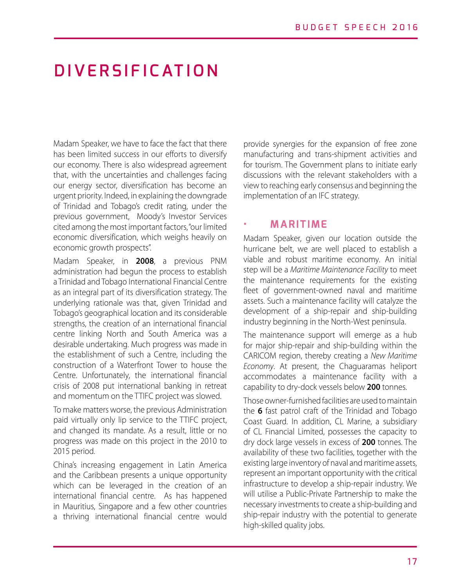# **DIVERSIFICATION**

Madam Speaker, we have to face the fact that there has been limited success in our efforts to diversify our economy. There is also widespread agreement that, with the uncertainties and challenges facing our energy sector, diversification has become an urgent priority. Indeed, in explaining the downgrade of Trinidad and Tobago's credit rating, under the previous government, Moody's Investor Services cited among the most important factors, "our limited economic diversification, which weighs heavily on economic growth prospects".

Madam Speaker, in **2008**, a previous PNM administration had begun the process to establish a Trinidad and Tobago International Financial Centre as an integral part of its diversification strategy. The underlying rationale was that, given Trinidad and Tobago's geographical location and its considerable strengths, the creation of an international financial centre linking North and South America was a desirable undertaking. Much progress was made in the establishment of such a Centre, including the construction of a Waterfront Tower to house the Centre. Unfortunately, the international financial crisis of 2008 put international banking in retreat and momentum on the TTIFC project was slowed.

To make matters worse, the previous Administration paid virtually only lip service to the TTIFC project, and changed its mandate. As a result, little or no progress was made on this project in the 2010 to 2015 period.

China's increasing engagement in Latin America and the Caribbean presents a unique opportunity which can be leveraged in the creation of an international financial centre. As has happened in Mauritius, Singapore and a few other countries a thriving international financial centre would

provide synergies for the expansion of free zone manufacturing and trans-shipment activities and for tourism. The Government plans to initiate early discussions with the relevant stakeholders with a view to reaching early consensus and beginning the implementation of an IFC strategy.

#### **• MARITIME**

Madam Speaker, given our location outside the hurricane belt, we are well placed to establish a viable and robust maritime economy. An initial step will be a *Maritime Maintenance Facility* to meet the maintenance requirements for the existing fleet of government-owned naval and maritime assets. Such a maintenance facility will catalyze the development of a ship-repair and ship-building industry beginning in the North-West peninsula.

The maintenance support will emerge as a hub for major ship-repair and ship-building within the CARICOM region, thereby creating a *New Maritime Economy*. At present, the Chaguaramas heliport accommodates a maintenance facility with a capability to dry-dock vessels below **200** tonnes.

Those owner-furnished facilities are used to maintain the **6** fast patrol craft of the Trinidad and Tobago Coast Guard. In addition, CL Marine, a subsidiary of CL Financial Limited, possesses the capacity to dry dock large vessels in excess of **200** tonnes. The availability of these two facilities, together with the existing large inventory of naval and maritime assets, represent an important opportunity with the critical infrastructure to develop a ship-repair industry. We will utilise a Public-Private Partnership to make the necessary investments to create a ship-building and ship-repair industry with the potential to generate high-skilled quality jobs.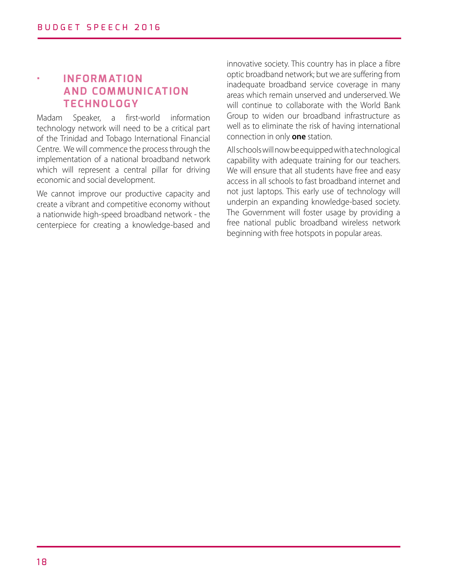## **• INFORMATION AND COMMUNICATION TECHNOLOGY**

Madam Speaker, a first-world information technology network will need to be a critical part of the Trinidad and Tobago International Financial Centre. We will commence the process through the implementation of a national broadband network which will represent a central pillar for driving economic and social development.

We cannot improve our productive capacity and create a vibrant and competitive economy without a nationwide high-speed broadband network - the centerpiece for creating a knowledge-based and

innovative society. This country has in place a fibre optic broadband network; but we are suffering from inadequate broadband service coverage in many areas which remain unserved and underserved. We will continue to collaborate with the World Bank Group to widen our broadband infrastructure as well as to eliminate the risk of having international connection in only **one** station.

All schools will now be equipped with a technological capability with adequate training for our teachers. We will ensure that all students have free and easy access in all schools to fast broadband internet and not just laptops. This early use of technology will underpin an expanding knowledge-based society. The Government will foster usage by providing a free national public broadband wireless network beginning with free hotspots in popular areas.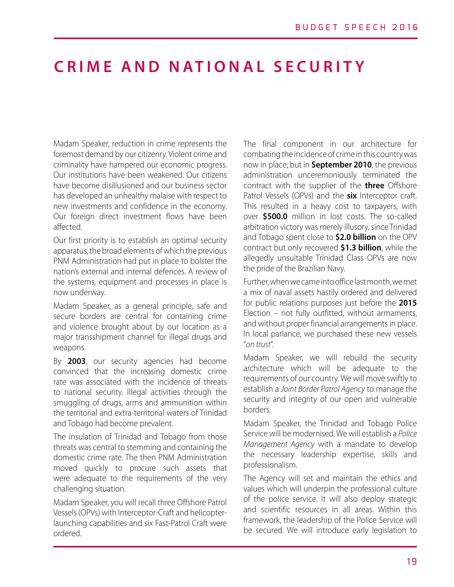# **CRIME AND NATIONAL SECURITY**

Madam Speaker, reduction in crime represents the foremost demand by our citizenry. Violent crime and criminality have hampered our economic progress. Our institutions have been weakened. Our citizens have become disillusioned and our business sector has developed an unhealthy malaise with respect to new investments and confidence in the economy. Our foreign direct investment flows have been affected.

Our first priority is to establish an optimal security apparatus, the broad elements of which the previous PNM Administration had put in place to bolster the nation's external and internal defences. A review of the systems, equipment and processes in place is now underway.

Madam Speaker, as a general principle, safe and secure borders are central for containing crime and violence brought about by our location as a major transshipment channel for illegal drugs and weapons.

By **2003**, our security agencies had become convinced that the increasing domestic crime rate was associated with the incidence of threats to national security. Illegal activities through the smuggling of drugs, arms and ammunition within the territorial and extra-territorial waters of Trinidad and Tobago had become prevalent.

The insulation of Trinidad and Tobago from those threats was central to stemming and containing the domestic crime rate. The then PNM Administration moved quickly to procure such assets that were adequate to the requirements of the very challenging situation.

Madam Speaker, you will recall three Offshore Patrol Vessels (OPVs) with Interceptor-Craft and helicopterlaunching capabilities and six Fast-Patrol Craft were ordered.

The final component in our architecture for combating the incidence of crime in this country was now in place; but in **September 2010**, the previous administration unceremoniously terminated the contract with the supplier of the **three** Offshore Patrol Vessels (OPVs) and the **six** Interceptor craft. This resulted in a heavy cost to taxpayers, with over **\$500.0** million in lost costs. The so-called arbitration victory was merely illusory, since Trinidad and Tobago spent close to **\$2.0 billion** on the OPV contract but only recovered **\$1.3 billion**, while the allegedly unsuitable Trinidad Class OPVs are now the pride of the Brazilian Navy.

Further, when we came into office last month, we met a mix of naval assets hastily ordered and delivered for public relations purposes just before the **2015** Election – not fully outfitted, without armaments, and without proper financial arrangements in place. In local parlance, we purchased these new vessels "*on trust*".

Madam Speaker, we will rebuild the security architecture which will be adequate to the requirements of our country. We will move swiftly to establish a *Joint Border Patrol Agency* to manage the security and integrity of our open and vulnerable borders.

Madam Speaker, the Trinidad and Tobago Police Service will be modernised. We will establish a *Police Management Agency* with a mandate to develop the necessary leadership expertise, skills and professionalism.

The Agency will set and maintain the ethics and values which will underpin the professional culture of the police service. It will also deploy strategic and scientific resources in all areas. Within this framework, the leadership of the Police Service will be secured. We will introduce early legislation to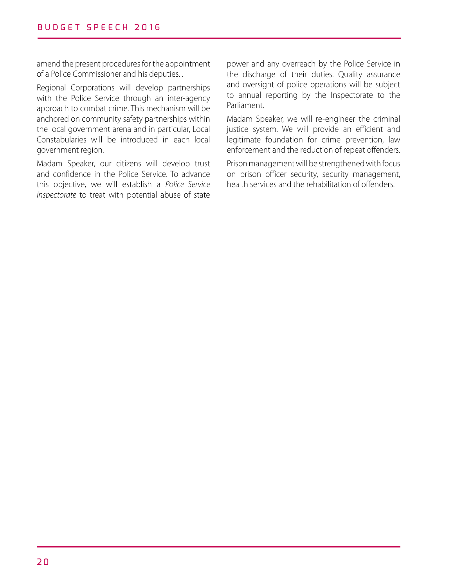amend the present procedures for the appointment of a Police Commissioner and his deputies. .

Regional Corporations will develop partnerships with the Police Service through an inter-agency approach to combat crime. This mechanism will be anchored on community safety partnerships within the local government arena and in particular, Local Constabularies will be introduced in each local government region.

Madam Speaker, our citizens will develop trust and confidence in the Police Service. To advance this objective, we will establish a *Police Service Inspectorate* to treat with potential abuse of state

power and any overreach by the Police Service in the discharge of their duties. Quality assurance and oversight of police operations will be subject to annual reporting by the Inspectorate to the Parliament.

Madam Speaker, we will re-engineer the criminal justice system. We will provide an efficient and legitimate foundation for crime prevention, law enforcement and the reduction of repeat offenders.

Prison management will be strengthened with focus on prison officer security, security management, health services and the rehabilitation of offenders.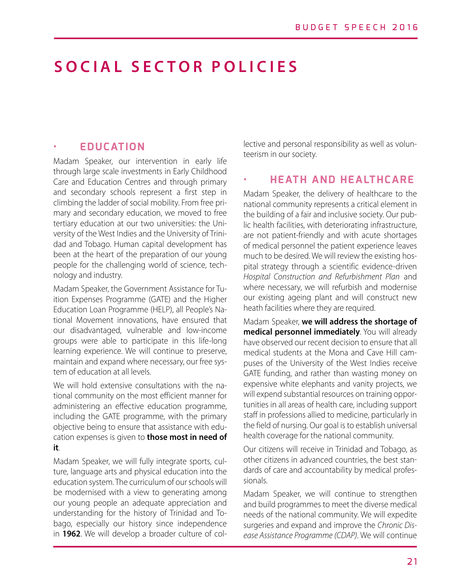# **SOCIAL SECTOR POLICIES**

### **• EDUCATION**

Madam Speaker, our intervention in early life through large scale investments in Early Childhood Care and Education Centres and through primary and secondary schools represent a first step in climbing the ladder of social mobility. From free primary and secondary education, we moved to free tertiary education at our two universities: the University of the West Indies and the University of Trinidad and Tobago. Human capital development has been at the heart of the preparation of our young people for the challenging world of science, technology and industry.

Madam Speaker, the Government Assistance for Tuition Expenses Programme (GATE) and the Higher Education Loan Programme (HELP), all People's National Movement innovations, have ensured that our disadvantaged, vulnerable and low-income groups were able to participate in this life-long learning experience. We will continue to preserve, maintain and expand where necessary, our free system of education at all levels.

We will hold extensive consultations with the national community on the most efficient manner for administering an effective education programme, including the GATE programme, with the primary objective being to ensure that assistance with education expenses is given to **those most in need of it**.

Madam Speaker, we will fully integrate sports, culture, language arts and physical education into the education system. The curriculum of our schools will be modernised with a view to generating among our young people an adequate appreciation and understanding for the history of Trinidad and Tobago, especially our history since independence in **1962**. We will develop a broader culture of collective and personal responsibility as well as volunteerism in our society.

#### **• HEATH AND HEALTHCARE**

Madam Speaker, the delivery of healthcare to the national community represents a critical element in the building of a fair and inclusive society. Our public health facilities, with deteriorating infrastructure, are not patient-friendly and with acute shortages of medical personnel the patient experience leaves much to be desired. We will review the existing hospital strategy through a scientific evidence-driven *Hospital Construction and Refurbishment Plan* and where necessary, we will refurbish and modernise our existing ageing plant and will construct new heath facilities where they are required.

Madam Speaker, **we will address the shortage of medical personnel immediately**. You will already have observed our recent decision to ensure that all medical students at the Mona and Cave Hill campuses of the University of the West Indies receive GATE funding, and rather than wasting money on expensive white elephants and vanity projects, we will expend substantial resources on training opportunities in all areas of health care, including support staff in professions allied to medicine, particularly in the field of nursing. Our goal is to establish universal health coverage for the national community.

Our citizens will receive in Trinidad and Tobago, as other citizens in advanced countries, the best standards of care and accountability by medical professionals.

Madam Speaker, we will continue to strengthen and build programmes to meet the diverse medical needs of the national community. We will expedite surgeries and expand and improve the *Chronic Disease Assistance Programme (CDAP)*. We will continue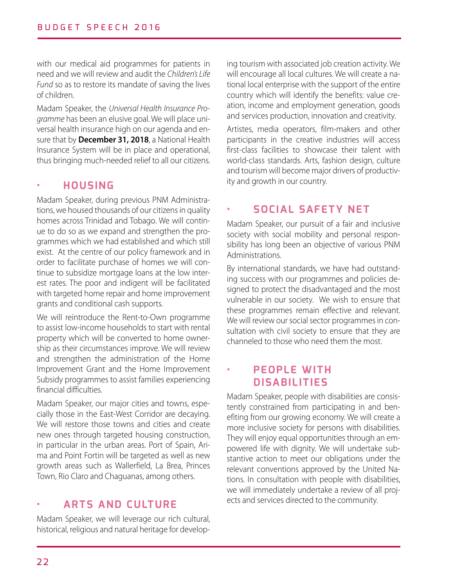with our medical aid programmes for patients in need and we will review and audit the *Children's Life Fund* so as to restore its mandate of saving the lives of children.

Madam Speaker, the *Universal Health Insurance Programme* has been an elusive goal. We will place universal health insurance high on our agenda and ensure that by **December 31, 2018**, a National Health Insurance System will be in place and operational, thus bringing much-needed relief to all our citizens.

### **• HOUSING**

Madam Speaker, during previous PNM Administrations, we housed thousands of our citizens in quality homes across Trinidad and Tobago. We will continue to do so as we expand and strengthen the programmes which we had established and which still exist. At the centre of our policy framework and in order to facilitate purchase of homes we will continue to subsidize mortgage loans at the low interest rates. The poor and indigent will be facilitated with targeted home repair and home improvement grants and conditional cash supports.

We will reintroduce the Rent-to-Own programme to assist low-income households to start with rental property which will be converted to home ownership as their circumstances improve. We will review and strengthen the administration of the Home Improvement Grant and the Home Improvement Subsidy programmes to assist families experiencing financial difficulties.

Madam Speaker, our major cities and towns, especially those in the East-West Corridor are decaying. We will restore those towns and cities and create new ones through targeted housing construction, in particular in the urban areas. Port of Spain, Arima and Point Fortin will be targeted as well as new growth areas such as Wallerfield, La Brea, Princes Town, Rio Claro and Chaguanas, among others.

## **• ARTS AND CULTURE**

Madam Speaker, we will leverage our rich cultural, historical, religious and natural heritage for developing tourism with associated job creation activity. We will encourage all local cultures. We will create a national local enterprise with the support of the entire country which will identify the benefits: value creation, income and employment generation, goods and services production, innovation and creativity.

Artistes, media operators, film-makers and other participants in the creative industries will access first-class facilities to showcase their talent with world-class standards. Arts, fashion design, culture and tourism will become major drivers of productivity and growth in our country.

## **• SOCIAL SAFETY NET**

Madam Speaker, our pursuit of a fair and inclusive society with social mobility and personal responsibility has long been an objective of various PNM Administrations.

By international standards, we have had outstanding success with our programmes and policies designed to protect the disadvantaged and the most vulnerable in our society. We wish to ensure that these programmes remain effective and relevant. We will review our social sector programmes in consultation with civil society to ensure that they are channeled to those who need them the most.

## **• PEOPLE WITH DISABILITIES**

Madam Speaker, people with disabilities are consistently constrained from participating in and benefiting from our growing economy. We will create a more inclusive society for persons with disabilities. They will enjoy equal opportunities through an empowered life with dignity. We will undertake substantive action to meet our obligations under the relevant conventions approved by the United Nations. In consultation with people with disabilities, we will immediately undertake a review of all projects and services directed to the community.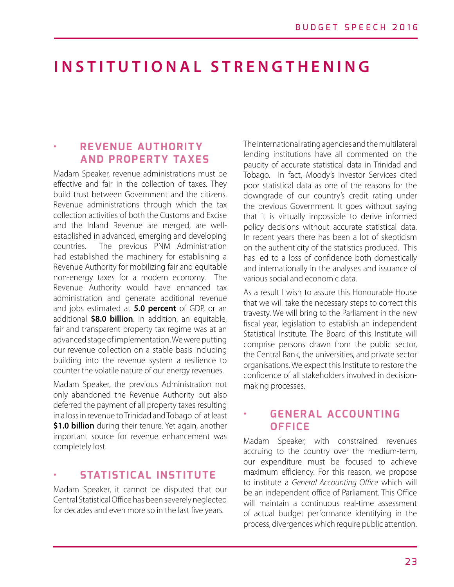# **INSTITUTIONAL STRENGTHENING**

### **• REVENUE AUTHORITY AND PROPERTY TAXES**

Madam Speaker, revenue administrations must be effective and fair in the collection of taxes. They build trust between Government and the citizens. Revenue administrations through which the tax collection activities of both the Customs and Excise and the Inland Revenue are merged, are wellestablished in advanced, emerging and developing countries. The previous PNM Administration had established the machinery for establishing a Revenue Authority for mobilizing fair and equitable non-energy taxes for a modern economy. The Revenue Authority would have enhanced tax administration and generate additional revenue and jobs estimated at **5.0 percent** of GDP, or an additional **\$8.0 billion**. In addition, an equitable, fair and transparent property tax regime was at an advanced stage of implementation. We were putting our revenue collection on a stable basis including building into the revenue system a resilience to counter the volatile nature of our energy revenues.

Madam Speaker, the previous Administration not only abandoned the Revenue Authority but also deferred the payment of all property taxes resulting in a loss in revenue to Trinidad and Tobago of at least **\$1.0 billion** during their tenure. Yet again, another important source for revenue enhancement was completely lost.

#### **• STATISTICAL INSTITUTE**

Madam Speaker, it cannot be disputed that our Central Statistical Office has been severely neglected for decades and even more so in the last five years.

The international rating agencies and the multilateral lending institutions have all commented on the paucity of accurate statistical data in Trinidad and Tobago. In fact, Moody's Investor Services cited poor statistical data as one of the reasons for the downgrade of our country's credit rating under the previous Government. It goes without saying that it is virtually impossible to derive informed policy decisions without accurate statistical data. In recent years there has been a lot of skepticism on the authenticity of the statistics produced. This has led to a loss of confidence both domestically and internationally in the analyses and issuance of various social and economic data.

As a result I wish to assure this Honourable House that we will take the necessary steps to correct this travesty. We will bring to the Parliament in the new fiscal year, legislation to establish an independent Statistical Institute. The Board of this Institute will comprise persons drawn from the public sector, the Central Bank, the universities, and private sector organisations. We expect this Institute to restore the confidence of all stakeholders involved in decisionmaking processes.

### **• GENERAL ACCOUNTING OFFICE**

Madam Speaker, with constrained revenues accruing to the country over the medium-term, our expenditure must be focused to achieve maximum efficiency. For this reason, we propose to institute a *General Accounting Office* which will be an independent office of Parliament. This Office will maintain a continuous real-time assessment of actual budget performance identifying in the process, divergences which require public attention.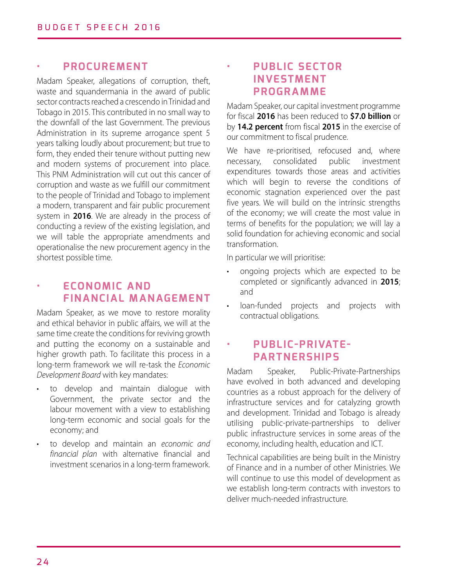### **• PROCUREMENT**

Madam Speaker, allegations of corruption, theft, waste and squandermania in the award of public sector contracts reached a crescendo in Trinidad and Tobago in 2015. This contributed in no small way to the downfall of the last Government. The previous Administration in its supreme arrogance spent 5 years talking loudly about procurement; but true to form, they ended their tenure without putting new and modern systems of procurement into place. This PNM Administration will cut out this cancer of corruption and waste as we fulfill our commitment to the people of Trinidad and Tobago to implement a modern, transparent and fair public procurement system in **2016**. We are already in the process of conducting a review of the existing legislation, and we will table the appropriate amendments and operationalise the new procurement agency in the shortest possible time.

## **• ECONOMIC AND FINANCIAL MANAGEMENT**

Madam Speaker, as we move to restore morality and ethical behavior in public affairs, we will at the same time create the conditions for reviving growth and putting the economy on a sustainable and higher growth path. To facilitate this process in a long-term framework we will re-task the *Economic Development Board* with key mandates:

- to develop and maintain dialogue with Government, the private sector and the labour movement with a view to establishing long-term economic and social goals for the economy; and
- to develop and maintain an *economic and financial plan* with alternative financial and investment scenarios in a long-term framework.

## **• PUBLIC SECTOR INVESTMENT PROGRAMME**

Madam Speaker, our capital investment programme for fiscal **2016** has been reduced to **\$7.0 billion** or by **14.2 percent** from fiscal **2015** in the exercise of our commitment to fiscal prudence.

We have re-prioritised, refocused and, where necessary, consolidated public investment expenditures towards those areas and activities which will begin to reverse the conditions of economic stagnation experienced over the past five years. We will build on the intrinsic strengths of the economy; we will create the most value in terms of benefits for the population; we will lay a solid foundation for achieving economic and social transformation.

In particular we will prioritise:

- ongoing projects which are expected to be completed or significantly advanced in **2015**; and
- loan-funded projects and projects with contractual obligations.

## **• PUB LI C -PRIVATE - PARTNERSHIPS**

Madam Speaker, Public-Private-Partnerships have evolved in both advanced and developing countries as a robust approach for the delivery of infrastructure services and for catalyzing growth and development. Trinidad and Tobago is already utilising public-private-partnerships to deliver public infrastructure services in some areas of the economy, including health, education and ICT.

Technical capabilities are being built in the Ministry of Finance and in a number of other Ministries. We will continue to use this model of development as we establish long-term contracts with investors to deliver much-needed infrastructure.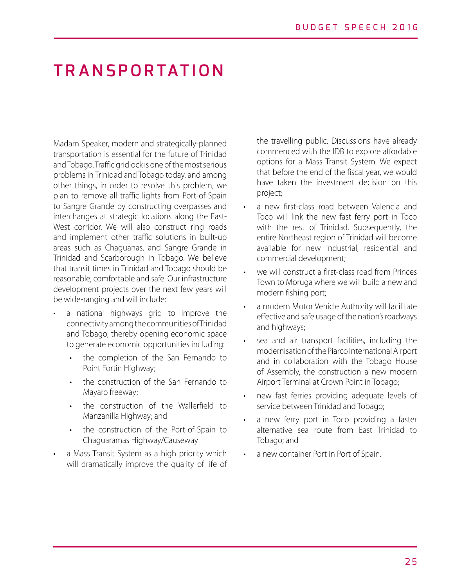# **TRANSPORTATION**

Madam Speaker, modern and strategically-planned transportation is essential for the future of Trinidad and Tobago. Traffic gridlock is one of the most serious problems in Trinidad and Tobago today, and among other things, in order to resolve this problem, we plan to remove all traffic lights from Port-of-Spain to Sangre Grande by constructing overpasses and interchanges at strategic locations along the East-West corridor. We will also construct ring roads and implement other traffic solutions in built-up areas such as Chaguanas, and Sangre Grande in Trinidad and Scarborough in Tobago. We believe that transit times in Trinidad and Tobago should be reasonable, comfortable and safe. Our infrastructure development projects over the next few years will be wide-ranging and will include:

- a national highways grid to improve the connectivity among the communities of Trinidad and Tobago, thereby opening economic space to generate economic opportunities including:
	- the completion of the San Fernando to Point Fortin Highway;
	- the construction of the San Fernando to Mayaro freeway;
	- the construction of the Wallerfield to Manzanilla Highway; and
	- the construction of the Port-of-Spain to Chaguaramas Highway/Causeway
- a Mass Transit System as a high priority which will dramatically improve the quality of life of

the travelling public. Discussions have already commenced with the IDB to explore affordable options for a Mass Transit System. We expect that before the end of the fiscal year, we would have taken the investment decision on this project;

- a new first-class road between Valencia and Toco will link the new fast ferry port in Toco with the rest of Trinidad. Subsequently, the entire Northeast region of Trinidad will become available for new industrial, residential and commercial development;
- we will construct a first-class road from Princes Town to Moruga where we will build a new and modern fishing port;
- a modern Motor Vehicle Authority will facilitate effective and safe usage of the nation's roadways and highways;
- sea and air transport facilities, including the modernisation of the Piarco International Airport and in collaboration with the Tobago House of Assembly, the construction a new modern Airport Terminal at Crown Point in Tobago;
- new fast ferries providing adequate levels of service between Trinidad and Tobago;
- a new ferry port in Toco providing a faster alternative sea route from East Trinidad to Tobago; and
- a new container Port in Port of Spain.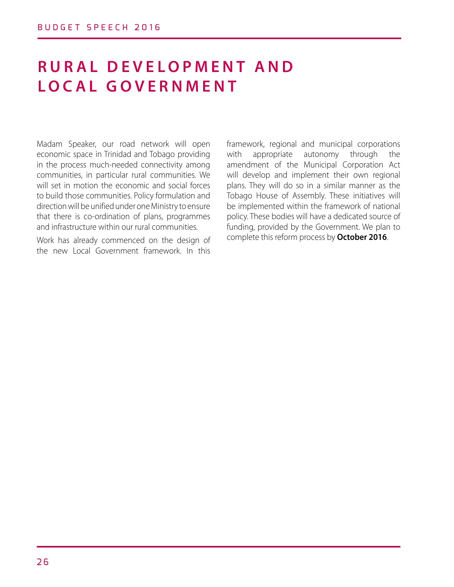# **R U R A L D E V E L O P M E N T A N D LOCAL GOVERNMENT**

Madam Speaker, our road network will open economic space in Trinidad and Tobago providing in the process much-needed connectivity among communities, in particular rural communities. We will set in motion the economic and social forces to build those communities. Policy formulation and direction will be unified under one Ministry to ensure that there is co-ordination of plans, programmes and infrastructure within our rural communities.

Work has already commenced on the design of the new Local Government framework. In this framework, regional and municipal corporations with appropriate autonomy through the amendment of the Municipal Corporation Act will develop and implement their own regional plans. They will do so in a similar manner as the Tobago House of Assembly. These initiatives will be implemented within the framework of national policy. These bodies will have a dedicated source of funding, provided by the Government. We plan to complete this reform process by **October 2016**.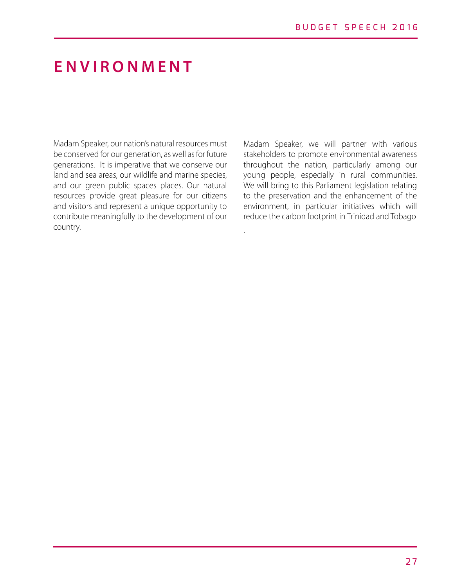# **ENVIRONMENT**

Madam Speaker, our nation's natural resources must be conserved for our generation, as well as for future generations. It is imperative that we conserve our land and sea areas, our wildlife and marine species, and our green public spaces places. Our natural resources provide great pleasure for our citizens and visitors and represent a unique opportunity to contribute meaningfully to the development of our country.

Madam Speaker, we will partner with various stakeholders to promote environmental awareness throughout the nation, particularly among our young people, especially in rural communities. We will bring to this Parliament legislation relating to the preservation and the enhancement of the environment, in particular initiatives which will reduce the carbon footprint in Trinidad and Tobago

.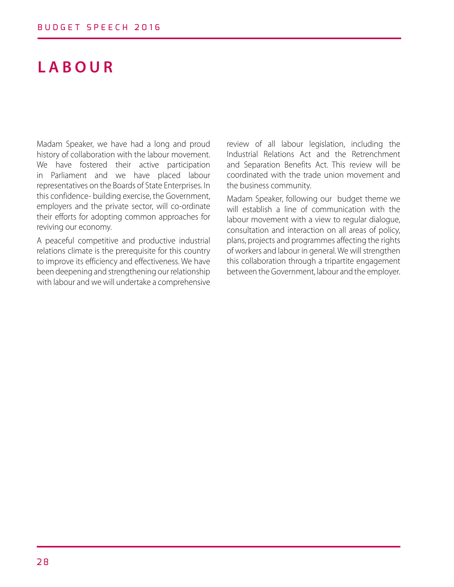# **LABOUR**

Madam Speaker, we have had a long and proud history of collaboration with the labour movement. We have fostered their active participation in Parliament and we have placed labour representatives on the Boards of State Enterprises. In this confidence- building exercise, the Government, employers and the private sector, will co-ordinate their efforts for adopting common approaches for reviving our economy.

A peaceful competitive and productive industrial relations climate is the prerequisite for this country to improve its efficiency and effectiveness. We have been deepening and strengthening our relationship with labour and we will undertake a comprehensive

review of all labour legislation, including the Industrial Relations Act and the Retrenchment and Separation Benefits Act. This review will be coordinated with the trade union movement and the business community.

Madam Speaker, following our budget theme we will establish a line of communication with the labour movement with a view to regular dialogue, consultation and interaction on all areas of policy, plans, projects and programmes affecting the rights of workers and labour in general. We will strengthen this collaboration through a tripartite engagement between the Government, labour and the employer.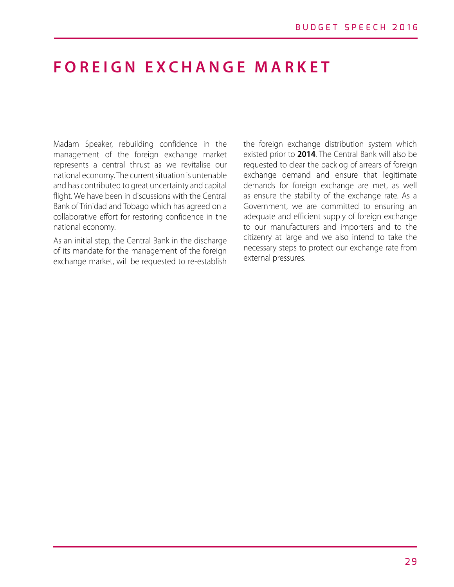# **FOREIGN EXCHANGE MARKET**

Madam Speaker, rebuilding confidence in the management of the foreign exchange market represents a central thrust as we revitalise our national economy. The current situation is untenable and has contributed to great uncertainty and capital flight. We have been in discussions with the Central Bank of Trinidad and Tobago which has agreed on a collaborative effort for restoring confidence in the national economy.

As an initial step, the Central Bank in the discharge of its mandate for the management of the foreign exchange market, will be requested to re-establish the foreign exchange distribution system which existed prior to **2014**. The Central Bank will also be requested to clear the backlog of arrears of foreign exchange demand and ensure that legitimate demands for foreign exchange are met, as well as ensure the stability of the exchange rate. As a Government, we are committed to ensuring an adequate and efficient supply of foreign exchange to our manufacturers and importers and to the citizenry at large and we also intend to take the necessary steps to protect our exchange rate from external pressures.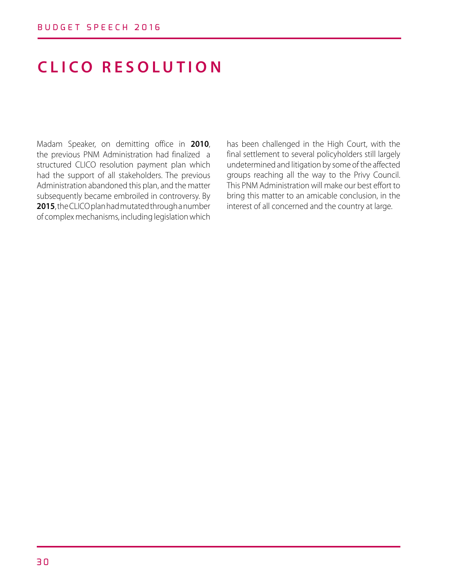# **CLICO RESOLUTION**

Madam Speaker, on demitting office in **2010**, the previous PNM Administration had finalized a structured CLICO resolution payment plan which had the support of all stakeholders. The previous Administration abandoned this plan, and the matter subsequently became embroiled in controversy. By **2015**, the CLICO plan had mutated through a number of complex mechanisms, including legislation which has been challenged in the High Court, with the final settlement to several policyholders still largely undetermined and litigation by some of the affected groups reaching all the way to the Privy Council. This PNM Administration will make our best effort to bring this matter to an amicable conclusion, in the interest of all concerned and the country at large.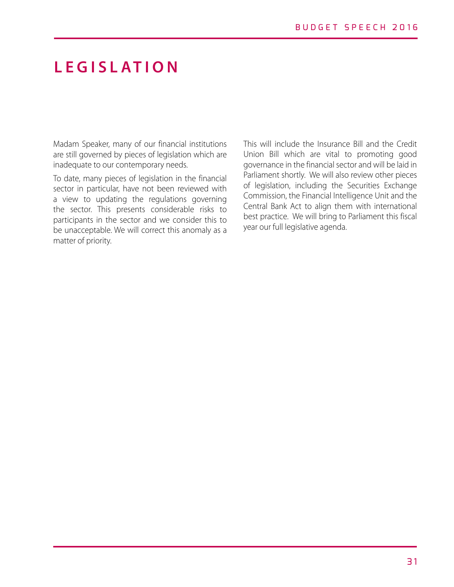# **LEGISLATION**

Madam Speaker, many of our financial institutions are still governed by pieces of legislation which are inadequate to our contemporary needs.

To date, many pieces of legislation in the financial sector in particular, have not been reviewed with a view to updating the regulations governing the sector. This presents considerable risks to participants in the sector and we consider this to be unacceptable. We will correct this anomaly as a matter of priority.

This will include the Insurance Bill and the Credit Union Bill which are vital to promoting good governance in the financial sector and will be laid in Parliament shortly. We will also review other pieces of legislation, including the Securities Exchange Commission, the Financial Intelligence Unit and the Central Bank Act to align them with international best practice. We will bring to Parliament this fiscal year our full legislative agenda.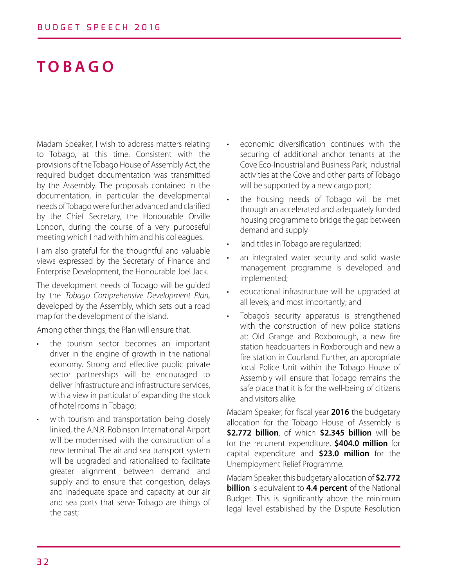# **TOBAGO**

Madam Speaker, I wish to address matters relating to Tobago, at this time. Consistent with the provisions of the Tobago House of Assembly Act, the required budget documentation was transmitted by the Assembly. The proposals contained in the documentation, in particular the developmental needs of Tobago were further advanced and clarified by the Chief Secretary, the Honourable Orville London, during the course of a very purposeful meeting which I had with him and his colleagues.

I am also grateful for the thoughtful and valuable views expressed by the Secretary of Finance and Enterprise Development, the Honourable Joel Jack.

The development needs of Tobago will be guided by the *Tobago Comprehensive Development Plan,*  developed by the Assembly, which sets out a road map for the development of the island.

Among other things, the Plan will ensure that:

- the tourism sector becomes an important driver in the engine of growth in the national economy. Strong and effective public private sector partnerships will be encouraged to deliver infrastructure and infrastructure services, with a view in particular of expanding the stock of hotel rooms in Tobago;
- with tourism and transportation being closely linked, the A.N.R. Robinson International Airport will be modernised with the construction of a new terminal. The air and sea transport system will be upgraded and rationalised to facilitate greater alignment between demand and supply and to ensure that congestion, delays and inadequate space and capacity at our air and sea ports that serve Tobago are things of the past;
- economic diversification continues with the securing of additional anchor tenants at the Cove Eco-Industrial and Business Park; industrial activities at the Cove and other parts of Tobago will be supported by a new cargo port;
- the housing needs of Tobago will be met through an accelerated and adequately funded housing programme to bridge the gap between demand and supply
- land titles in Tobago are regularized;
- an integrated water security and solid waste management programme is developed and implemented;
- educational infrastructure will be upgraded at all levels; and most importantly; and
- Tobago's security apparatus is strengthened with the construction of new police stations at: Old Grange and Roxborough, a new fire station headquarters in Roxborough and new a fire station in Courland. Further, an appropriate local Police Unit within the Tobago House of Assembly will ensure that Tobago remains the safe place that it is for the well-being of citizens and visitors alike.

Madam Speaker, for fiscal year **2016** the budgetary allocation for the Tobago House of Assembly is **\$2.772 billion**, of which **\$2.345 billion** will be for the recurrent expenditure, **\$404.0 million** for capital expenditure and **\$23.0 million** for the Unemployment Relief Programme.

Madam Speaker, this budgetary allocation of **\$2.772 billion** is equivalent to **4.4 percent** of the National Budget. This is significantly above the minimum legal level established by the Dispute Resolution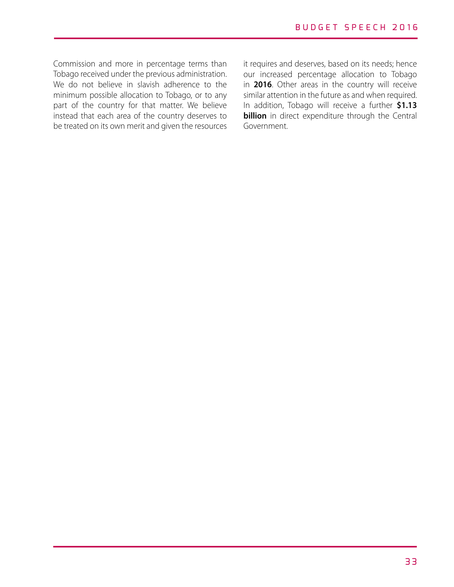Commission and more in percentage terms than Tobago received under the previous administration. We do not believe in slavish adherence to the minimum possible allocation to Tobago, or to any part of the country for that matter. We believe instead that each area of the country deserves to be treated on its own merit and given the resources it requires and deserves, based on its needs; hence our increased percentage allocation to Tobago in **2016**. Other areas in the country will receive similar attention in the future as and when required. In addition, Tobago will receive a further **\$1.13 billion** in direct expenditure through the Central Government.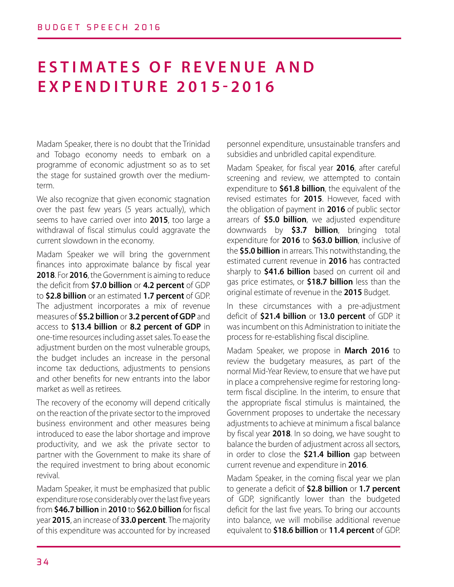# **ESTIMATES OF REVENUE AND EXPENDITURE 2015-2016**

Madam Speaker, there is no doubt that the Trinidad and Tobago economy needs to embark on a programme of economic adjustment so as to set the stage for sustained growth over the mediumterm.

We also recognize that given economic stagnation over the past few years (5 years actually), which seems to have carried over into **2015**, too large a withdrawal of fiscal stimulus could aggravate the current slowdown in the economy.

Madam Speaker we will bring the government finances into approximate balance by fiscal year **2018**. For **2016**, the Government is aiming to reduce the deficit from **\$7.0 billion** or **4.2 percent** of GDP to **\$2.8 billion** or an estimated **1.7 percent** of GDP. The adjustment incorporates a mix of revenue measures of **\$5.2 billion** or **3.2 percent of GDP** and access to **\$13.4 billion** or **8.2 percent of GDP** in one-time resources including asset sales. To ease the adjustment burden on the most vulnerable groups, the budget includes an increase in the personal income tax deductions, adjustments to pensions and other benefits for new entrants into the labor market as well as retirees.

The recovery of the economy will depend critically on the reaction of the private sector to the improved business environment and other measures being introduced to ease the labor shortage and improve productivity, and we ask the private sector to partner with the Government to make its share of the required investment to bring about economic revival.

Madam Speaker, it must be emphasized that public expenditure rose considerably over the last five years from **\$46.7 billion** in **2010** to **\$62.0 billion** for fiscal year **2015**, an increase of **33.0 percent**. The majority of this expenditure was accounted for by increased

personnel expenditure, unsustainable transfers and subsidies and unbridled capital expenditure.

Madam Speaker, for fiscal year **2016**, after careful screening and review, we attempted to contain expenditure to **\$61.8 billion**, the equivalent of the revised estimates for **2015**. However, faced with the obligation of payment in **2016** of public sector arrears of **\$5.0 billion**, we adjusted expenditure downwards by **\$3.7 billion**, bringing total expenditure for **2016** to **\$63.0 billion**, inclusive of the **\$5.0 billion** in arrears. This notwithstanding, the estimated current revenue in **2016** has contracted sharply to **\$41.6 billion** based on current oil and gas price estimates, or **\$18.7 billion** less than the original estimate of revenue in the **2015** Budget.

In these circumstances with a pre-adjustment deficit of **\$21.4 billion** or **13.0 percent** of GDP it was incumbent on this Administration to initiate the process for re-establishing fiscal discipline.

Madam Speaker, we propose in **March 2016** to review the budgetary measures, as part of the normal Mid-Year Review, to ensure that we have put in place a comprehensive regime for restoring longterm fiscal discipline. In the interim, to ensure that the appropriate fiscal stimulus is maintained, the Government proposes to undertake the necessary adjustments to achieve at minimum a fiscal balance by fiscal year **2018**. In so doing, we have sought to balance the burden of adjustment across all sectors, in order to close the **\$21.4 billion** gap between current revenue and expenditure in **2016**.

Madam Speaker, in the coming fiscal year we plan to generate a deficit of **\$2.8 billion** or **1.7 percent**  of GDP, significantly lower than the budgeted deficit for the last five years. To bring our accounts into balance, we will mobilise additional revenue equivalent to **\$18.6 billion** or **11.4 percent** of GDP.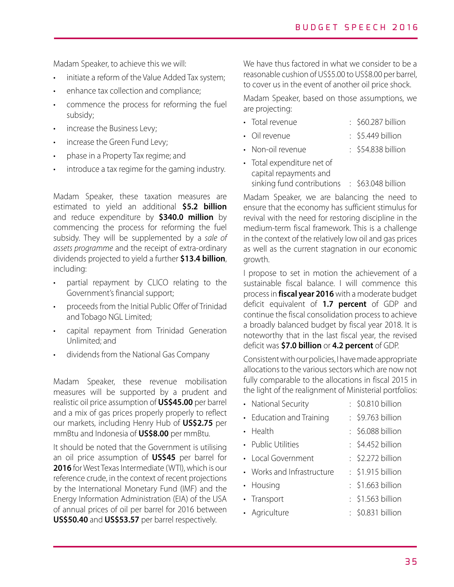Madam Speaker, to achieve this we will:

- initiate a reform of the Value Added Tax system;
- enhance tax collection and compliance;
- commence the process for reforming the fuel subsidy;
- increase the Business Levy;
- increase the Green Fund Levy;
- phase in a Property Tax regime; and
- introduce a tax regime for the gaming industry.

Madam Speaker, these taxation measures are estimated to yield an additional **\$5.2 billion**  and reduce expenditure by **\$340.0 million** by commencing the process for reforming the fuel subsidy. They will be supplemented by a *sale of assets programme* and the receipt of extra-ordinary dividends projected to yield a further **\$13.4 billion**, including:

- partial repayment by CLICO relating to the Government's financial support;
- proceeds from the Initial Public Offer of Trinidad and Tobago NGL Limited;
- capital repayment from Trinidad Generation Unlimited; and
- dividends from the National Gas Company

Madam Speaker, these revenue mobilisation measures will be supported by a prudent and realistic oil price assumption of **US\$45.00** per barrel and a mix of gas prices properly properly to reflect our markets, including Henry Hub of **US\$2.75** per mmBtu and Indonesia of **US\$8.00** per mmBtu.

It should be noted that the Government is utilising an oil price assumption of **US\$45** per barrel for **2016** for West Texas Intermediate (WTI), which is our reference crude, in the context of recent projections by the International Monetary Fund (IMF) and the Energy Information Administration (EIA) of the USA of annual prices of oil per barrel for 2016 between **US\$50.40** and **US\$53.57** per barrel respectively.

We have thus factored in what we consider to be a reasonable cushion of US\$5.00 to US\$8.00 per barrel, to cover us in the event of another oil price shock.

Madam Speaker, based on those assumptions, we are projecting:

- Total revenue : \$60.287 billion
- Oil revenue : \$5.449 billion
- Non-oil revenue : \$54.838 billion
- Total expenditure net of capital repayments and sinking fund contributions : \$63.048 billion

Madam Speaker, we are balancing the need to ensure that the economy has sufficient stimulus for revival with the need for restoring discipline in the medium-term fiscal framework. This is a challenge in the context of the relatively low oil and gas prices as well as the current stagnation in our economic growth.

I propose to set in motion the achievement of a sustainable fiscal balance. I will commence this process in **fiscal year 2016** with a moderate budget deficit equivalent of **1.7 percent** of GDP and continue the fiscal consolidation process to achieve a broadly balanced budget by fiscal year 2018. It is noteworthy that in the last fiscal year, the revised deficit was **\$7.0 billion** or **4.2 percent** of GDP.

Consistent with our policies, I have made appropriate allocations to the various sectors which are now not fully comparable to the allocations in fiscal 2015 in the light of the realignment of Ministerial portfolios:

• National Security : \$0.810 billion • Education and Training : \$9.763 billion • Health : \$6.088 billion • Public Utilities : \$4.452 billion • Local Government : \$2.272 billion • Works and Infrastructure : \$1.915 billion • Housing : \$1.663 billion • Transport : \$1.563 billion • Agriculture : \$0.831 billion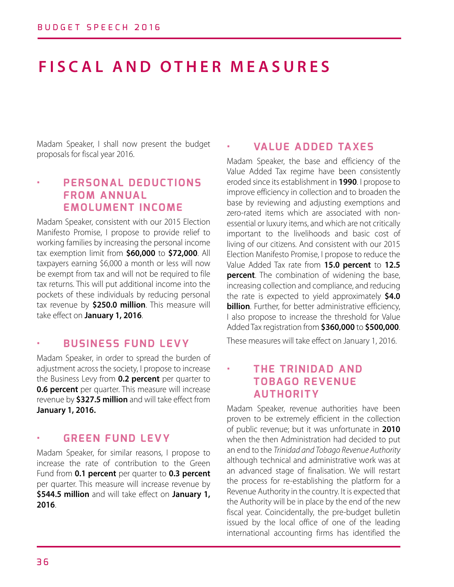# **FISCAL AND OTHER MEASURES**

Madam Speaker, I shall now present the budget proposals for fiscal year 2016.

## **• PERSONAL DEDUCTIONS FROM ANNUAL EMOLUMENT INCOME**

Madam Speaker, consistent with our 2015 Election Manifesto Promise, I propose to provide relief to working families by increasing the personal income tax exemption limit from **\$60,000** to **\$72,000**. All taxpayers earning \$6,000 a month or less will now be exempt from tax and will not be required to file tax returns. This will put additional income into the pockets of these individuals by reducing personal tax revenue by **\$250.0 million**. This measure will take effect on **January 1, 2016**.

#### **• BUSINESS FUND LEVY**

Madam Speaker, in order to spread the burden of adjustment across the society, I propose to increase the Business Levy from **0.2 percent** per quarter to **0.6 percent** per quarter. This measure will increase revenue by **\$327.5 million** and will take effect from **January 1, 2016.**

#### **• GREEN FUND LEVY**

Madam Speaker, for similar reasons, I propose to increase the rate of contribution to the Green Fund from **0.1 percent** per quarter to **0.3 percent**  per quarter. This measure will increase revenue by **\$544.5 million** and will take effect on **January 1, 2016**.

### **• VALUE ADDED TAXES**

Madam Speaker, the base and efficiency of the Value Added Tax regime have been consistently eroded since its establishment in **1990**. I propose to improve efficiency in collection and to broaden the base by reviewing and adjusting exemptions and zero-rated items which are associated with nonessential or luxury items, and which are not critically important to the livelihoods and basic cost of living of our citizens. And consistent with our 2015 Election Manifesto Promise, I propose to reduce the Value Added Tax rate from **15.0 percent** to **12.5 percent**. The combination of widening the base, increasing collection and compliance, and reducing the rate is expected to yield approximately **\$4.0 billion**. Further, for better administrative efficiency, I also propose to increase the threshold for Value Added Tax registration from **\$360,000** to **\$500,000**.

These measures will take effect on January 1, 2016.

### **• THE TRINIDAD AND TOBAGO REVENUE AUTHORITY**

Madam Speaker, revenue authorities have been proven to be extremely efficient in the collection of public revenue; but it was unfortunate in **2010** when the then Administration had decided to put an end to the *Trinidad and Tobago Revenue Authority* although technical and administrative work was at an advanced stage of finalisation. We will restart the process for re-establishing the platform for a Revenue Authority in the country. It is expected that the Authority will be in place by the end of the new fiscal year. Coincidentally, the pre-budget bulletin issued by the local office of one of the leading international accounting firms has identified the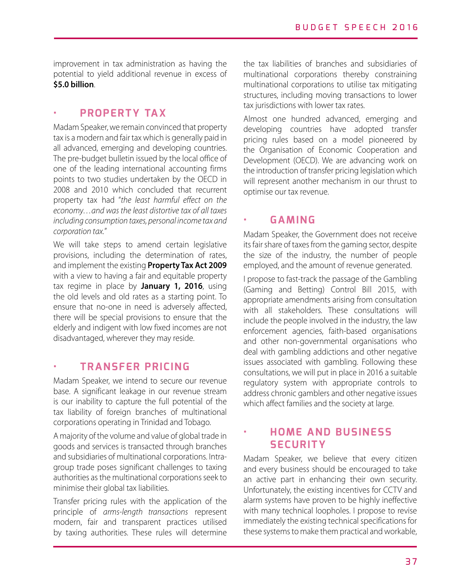improvement in tax administration as having the potential to yield additional revenue in excess of **\$5.0 billion**.

### **• PROPERTY TAX**

Madam Speaker, we remain convinced that property tax is a modern and fair tax which is generally paid in all advanced, emerging and developing countries. The pre-budget bulletin issued by the local office of one of the leading international accounting firms points to two studies undertaken by the OECD in 2008 and 2010 which concluded that recurrent property tax had "*the least harmful effect on the economy…and was the least distortive tax of all taxes including consumption taxes, personal income tax and corporation tax.*"

We will take steps to amend certain legislative provisions, including the determination of rates, and implement the existing **Property Tax Act 2009**  with a view to having a fair and equitable property tax regime in place by **January 1, 2016**, using the old levels and old rates as a starting point. To ensure that no-one in need is adversely affected, there will be special provisions to ensure that the elderly and indigent with low fixed incomes are not disadvantaged, wherever they may reside.

### **• TRANSFER PRICING**

Madam Speaker, we intend to secure our revenue base. A significant leakage in our revenue stream is our inability to capture the full potential of the tax liability of foreign branches of multinational corporations operating in Trinidad and Tobago.

A majority of the volume and value of global trade in goods and services is transacted through branches and subsidiaries of multinational corporations. Intragroup trade poses significant challenges to taxing authorities as the multinational corporations seek to minimise their global tax liabilities.

Transfer pricing rules with the application of the principle of *arms-length transactions* represent modern, fair and transparent practices utilised by taxing authorities. These rules will determine the tax liabilities of branches and subsidiaries of multinational corporations thereby constraining multinational corporations to utilise tax mitigating structures, including moving transactions to lower tax jurisdictions with lower tax rates.

Almost one hundred advanced, emerging and developing countries have adopted transfer pricing rules based on a model pioneered by the Organisation of Economic Cooperation and Development (OECD). We are advancing work on the introduction of transfer pricing legislation which will represent another mechanism in our thrust to optimise our tax revenue.

### **• GAMING**

Madam Speaker, the Government does not receive its fair share of taxes from the gaming sector, despite the size of the industry, the number of people employed, and the amount of revenue generated.

I propose to fast-track the passage of the Gambling (Gaming and Betting) Control Bill 2015, with appropriate amendments arising from consultation with all stakeholders. These consultations will include the people involved in the industry, the law enforcement agencies, faith-based organisations and other non-governmental organisations who deal with gambling addictions and other negative issues associated with gambling. Following these consultations, we will put in place in 2016 a suitable regulatory system with appropriate controls to address chronic gamblers and other negative issues which affect families and the society at large.

## **• HOME AND BUSINESS SECURITY**

Madam Speaker, we believe that every citizen and every business should be encouraged to take an active part in enhancing their own security. Unfortunately, the existing incentives for CCTV and alarm systems have proven to be highly ineffective with many technical loopholes. I propose to revise immediately the existing technical specifications for these systems to make them practical and workable,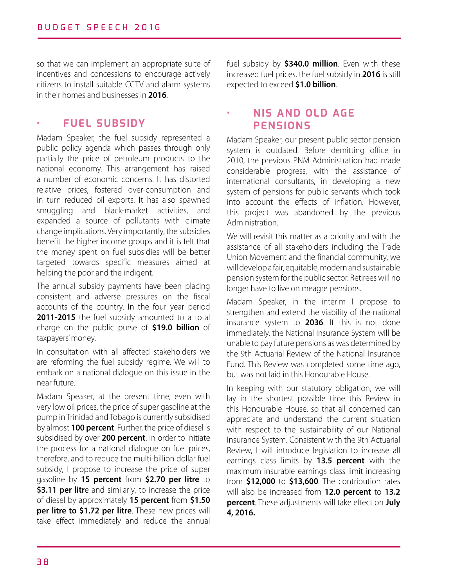so that we can implement an appropriate suite of incentives and concessions to encourage actively citizens to install suitable CCTV and alarm systems in their homes and businesses in **2016**.

### **• FUEL SUBSIDY**

Madam Speaker, the fuel subsidy represented a public policy agenda which passes through only partially the price of petroleum products to the national economy. This arrangement has raised a number of economic concerns. It has distorted relative prices, fostered over-consumption and in turn reduced oil exports. It has also spawned smuggling and black-market activities, and expanded a source of pollutants with climate change implications. Very importantly, the subsidies benefit the higher income groups and it is felt that the money spent on fuel subsidies will be better targeted towards specific measures aimed at helping the poor and the indigent.

The annual subsidy payments have been placing consistent and adverse pressures on the fiscal accounts of the country. In the four year period 2011-2015 the fuel subsidy amounted to a total charge on the public purse of **\$19.0 billion** of taxpayers' money.

In consultation with all affected stakeholders we are reforming the fuel subsidy regime. We will to embark on a national dialogue on this issue in the near future.

Madam Speaker, at the present time, even with very low oil prices, the price of super gasoline at the pump in Trinidad and Tobago is currently subsidised by almost **100 percent**. Further, the price of diesel is subsidised by over **200 percent**. In order to initiate the process for a national dialogue on fuel prices, therefore, and to reduce the multi-billion dollar fuel subsidy, I propose to increase the price of super gasoline by **15 percent** from **\$2.70 per litre** to **\$3.11 per litr**e and similarly, to increase the price of diesel by approximately **15 percent** from **\$1.50 per litre to \$1.72 per litre**. These new prices will take effect immediately and reduce the annual fuel subsidy by **\$340.0 million**. Even with these increased fuel prices, the fuel subsidy in **2016** is still expected to exceed **\$1.0 billion**.

### **• NIS AND OLD AGE PENSIONS**

Madam Speaker, our present public sector pension system is outdated. Before demitting office in 2010, the previous PNM Administration had made considerable progress, with the assistance of international consultants, in developing a new system of pensions for public servants which took into account the effects of inflation. However, this project was abandoned by the previous Administration.

We will revisit this matter as a priority and with the assistance of all stakeholders including the Trade Union Movement and the financial community, we will develop a fair, equitable, modern and sustainable pension system for the public sector. Retirees will no longer have to live on meagre pensions.

Madam Speaker, in the interim I propose to strengthen and extend the viability of the national insurance system to **2036**. If this is not done immediately, the National Insurance System will be unable to pay future pensions as was determined by the 9th Actuarial Review of the National Insurance Fund. This Review was completed some time ago, but was not laid in this Honourable House.

In keeping with our statutory obligation, we will lay in the shortest possible time this Review in this Honourable House, so that all concerned can appreciate and understand the current situation with respect to the sustainability of our National Insurance System. Consistent with the 9th Actuarial Review, I will introduce legislation to increase all earnings class limits by **13.5 percent** with the maximum insurable earnings class limit increasing from **\$12,000** to **\$13,600**. The contribution rates will also be increased from **12.0 percent** to **13.2 percent**. These adjustments will take effect on **July 4, 2016.**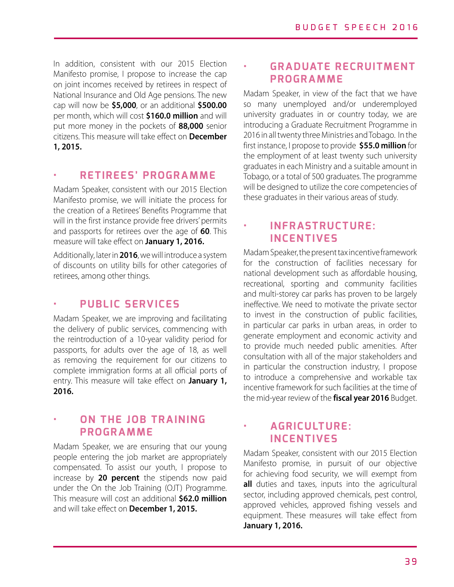In addition, consistent with our 2015 Election Manifesto promise, I propose to increase the cap on joint incomes received by retirees in respect of National Insurance and Old Age pensions. The new cap will now be **\$5,000**, or an additional **\$500.00** per month, which will cost **\$160.0 million** and will put more money in the pockets of **88,000** senior citizens. This measure will take effect on **December 1, 2015.**

#### **• RETIREES' PROGRAMME**

Madam Speaker, consistent with our 2015 Election Manifesto promise, we will initiate the process for the creation of a Retirees' Benefits Programme that will in the first instance provide free drivers' permits and passports for retirees over the age of **60**. This measure will take effect on **January 1, 2016.** 

Additionally, later in **2016**, we will introduce a system of discounts on utility bills for other categories of retirees, among other things.

## **• PUBLIC SERVICES**

Madam Speaker, we are improving and facilitating the delivery of public services, commencing with the reintroduction of a 10-year validity period for passports, for adults over the age of 18, as well as removing the requirement for our citizens to complete immigration forms at all official ports of entry. This measure will take effect on **January 1, 2016.**

### **• ON THE JOB TRAINING PROGRAMME**

Madam Speaker, we are ensuring that our young people entering the job market are appropriately compensated. To assist our youth, I propose to increase by **20 percent** the stipends now paid under the On the Job Training (OJT) Programme. This measure will cost an additional **\$62.0 million** and will take effect on **December 1, 2015.**

### **• GRADUATE RECRUITMENT PROGRAMME**

Madam Speaker, in view of the fact that we have so many unemployed and/or underemployed university graduates in or country today, we are introducing a Graduate Recruitment Programme in 2016 in all twenty three Ministries and Tobago. In the first instance, I propose to provide **\$55.0 million** for the employment of at least twenty such university graduates in each Ministry and a suitable amount in Tobago, or a total of 500 graduates. The programme will be designed to utilize the core competencies of these graduates in their various areas of study.

### **• INFRASTRUCTURE: INCENTIVES**

Madam Speaker, the present tax incentive framework for the construction of facilities necessary for national development such as affordable housing, recreational, sporting and community facilities and multi-storey car parks has proven to be largely ineffective. We need to motivate the private sector to invest in the construction of public facilities, in particular car parks in urban areas, in order to generate employment and economic activity and to provide much needed public amenities. After consultation with all of the major stakeholders and in particular the construction industry, I propose to introduce a comprehensive and workable tax incentive framework for such facilities at the time of the mid-year review of the **fiscal year 2016** Budget.

### **• AGRICULTURE: INCENTIVES**

Madam Speaker, consistent with our 2015 Election Manifesto promise, in pursuit of our objective for achieving food security, we will exempt from **all** duties and taxes, inputs into the agricultural sector, including approved chemicals, pest control, approved vehicles, approved fishing vessels and equipment. These measures will take effect from **January 1, 2016.**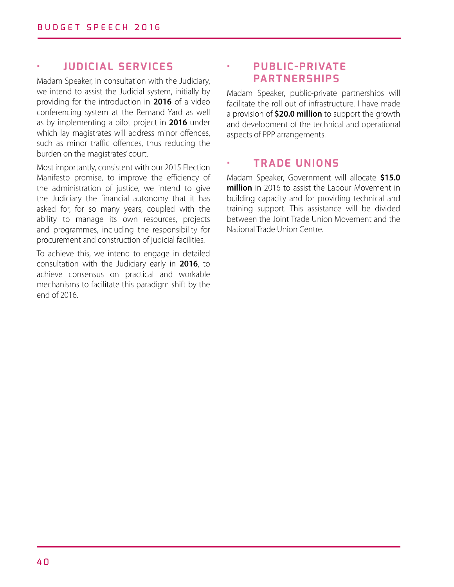#### **• JUDICIAL SERVICES**

Madam Speaker, in consultation with the Judiciary, we intend to assist the Judicial system, initially by providing for the introduction in **2016** of a video conferencing system at the Remand Yard as well as by implementing a pilot project in **2016** under which lay magistrates will address minor offences, such as minor traffic offences, thus reducing the burden on the magistrates' court.

Most importantly, consistent with our 2015 Election Manifesto promise, to improve the efficiency of the administration of justice, we intend to give the Judiciary the financial autonomy that it has asked for, for so many years, coupled with the ability to manage its own resources, projects and programmes, including the responsibility for procurement and construction of judicial facilities.

To achieve this, we intend to engage in detailed consultation with the Judiciary early in **2016**, to achieve consensus on practical and workable mechanisms to facilitate this paradigm shift by the end of 2016.

## **• PUB LI C -PRIVATE PARTNERSHIPS**

Madam Speaker, public-private partnerships will facilitate the roll out of infrastructure. I have made a provision of **\$20.0 million** to support the growth and development of the technical and operational aspects of PPP arrangements.

#### **• TRADE UNIONS**

Madam Speaker, Government will allocate **\$15.0 million** in 2016 to assist the Labour Movement in building capacity and for providing technical and training support. This assistance will be divided between the Joint Trade Union Movement and the National Trade Union Centre.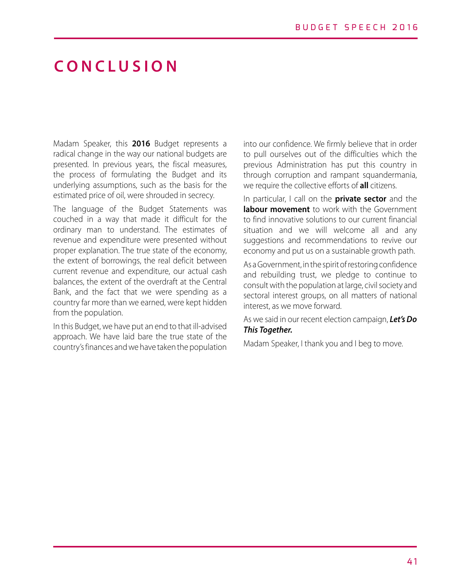# **C O N C L U S I O N**

Madam Speaker, this **2016** Budget represents a radical change in the way our national budgets are presented. In previous years, the fiscal measures, the process of formulating the Budget and its underlying assumptions, such as the basis for the estimated price of oil, were shrouded in secrecy.

The language of the Budget Statements was couched in a way that made it difficult for the ordinary man to understand. The estimates of revenue and expenditure were presented without proper explanation. The true state of the economy, the extent of borrowings, the real deficit between current revenue and expenditure, our actual cash balances, the extent of the overdraft at the Central Bank, and the fact that we were spending as a country far more than we earned, were kept hidden from the population.

In this Budget, we have put an end to that ill-advised approach. We have laid bare the true state of the country's finances and we have taken the population

into our confidence. We firmly believe that in order to pull ourselves out of the difficulties which the previous Administration has put this country in through corruption and rampant squandermania, we require the collective efforts of **all** citizens.

In particular, I call on the **private sector** and the **labour movement** to work with the Government to find innovative solutions to our current financial situation and we will welcome all and any suggestions and recommendations to revive our economy and put us on a sustainable growth path.

As a Government, in the spirit of restoring confidence and rebuilding trust, we pledge to continue to consult with the population at large, civil society and sectoral interest groups, on all matters of national interest, as we move forward.

As we said in our recent election campaign, *Let's Do This Together.*

Madam Speaker, I thank you and I beg to move.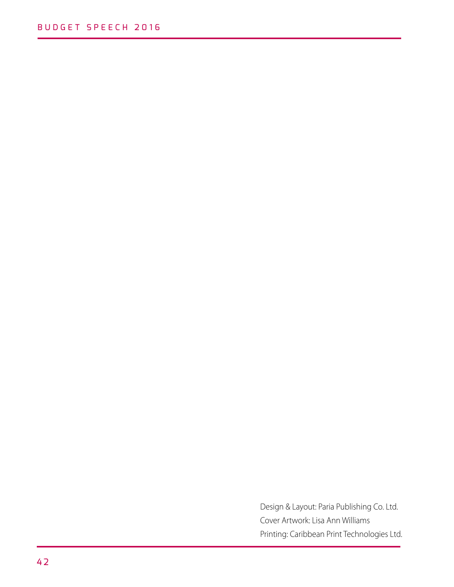Design & Layout: Paria Publishing Co. Ltd. Cover Artwork: Lisa Ann Williams Printing: Caribbean Print Technologies Ltd.